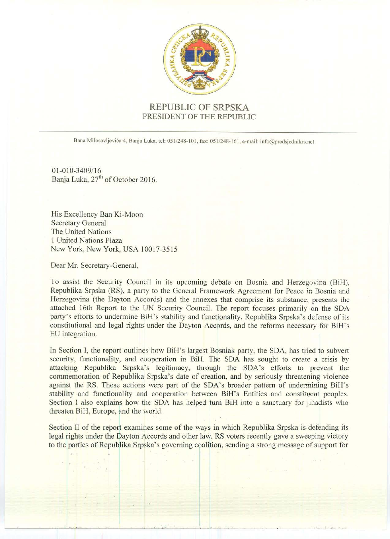

REPUBLIC OF SRPSKA PRESIDENT OF THE REPUBLIC

Bana Milosavljevića 4, Banja Luka, tel: 051/248-101, fax: 051/248-161, e-mail: info@predsjednikrs.net

01-010-3409/16 Banja Luka, 27<sup>th</sup> of October 2016.

His Excellency Ban Ki-Moon Secretary General The United Nations 1 United Nations Plaza New York, New York, USA 10017-3515

Dear Mr. Secretary-General,

To assist the Security Council in its upcoming debate on Bosnia and Herzegovina (BiH). Republika Srpska (RS), a party to the General Framework Agreement for Peace in Bosnia and Herzegovina (the Dayton Accords) and the annexes that comprise its substance, presents the attached 16th Report to the UN Security Council. The report focuses primarily on the SDA party's efforts to undermine BiH's stability and functionality, Republika Srpska's defense of its constitutional and legal rights under the Dayton Accords, and the reforms necessary for BiH's EU integration.

In Section I, the report outlines how BiH's largest Bosniak party, the SDA, has tried to subvert security, functionality, and cooperation in BiH. The SDA has sought to create a crisis by attacking Republika Srpska's legitimacy, through the SDA's efforts to prevent the commemoration of Republika Srpska's date of creation, and by seriously threatening violence against the RS. These actions were part of the SDA's broader pattern of undermining BiH's stability and functionality and cooperation between BiH's Entities and constituent peoples. Section I also explains how the SDA has helped turn BiH into a sanctuary for jihadists who threaten BiH, Europe, and the world.

Section II of the report examines some of the ways in which Republika Srpska is defending its legal rights under the Dayton Accords and other law. RS voters recently gave a sweeping victory to the parties of Republika Srpska's governing coalition, sending a strong message of support for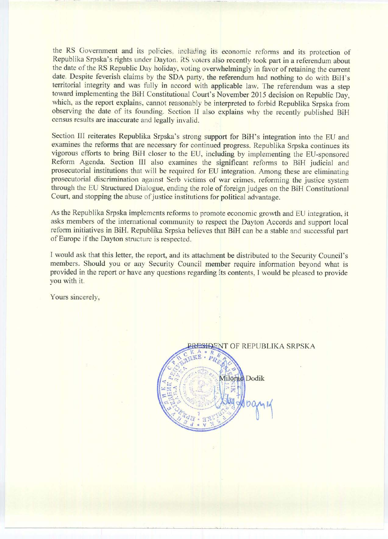the RS Government and its policies, including its economic reforms and its protection of Republika Srpska's rights under Dayton. RS voters also recently took part in a referendum about the date of the RS Republic Day holiday, voting overwhelmingly in favor of retaining the current date. Despite feverish claims by the SDA party, the referendum had nothing to do with BiH's territorial integrity and was fully in accord with applicable law. The referendum was a step toward implementing the BiH Constitutional Court's November 2015 decision on Republic Day, which, as the report explains, cannot reasonably be interpreted to forbid Republika Srpska from observing the date of its founding. Section II also explains why the recently published BiH census results are inaccurate and legally invalid.

Section III reiterates Republika Srpska's strong support for BiH's integration into the EU and examines the reforms that are necessary for continued progress. Republika Srpska continues its vigorous efforts to bring BiH closer to the EU, including by implementing the EU-sponsored Reform Agenda. Section III also examines the significant reforms to BiH judicial and prosecutorial institutions that will be required for EU integration. Among these are eliminating prosecutorial discrimination against Serb victims of war crimes, reforming the justice system through the EU Structured Dialogue, ending the role of foreign judges on the BiH Constitutional Court, and stopping the abuse of justice institutions for political advantage.

As the Republika Srpska implements reforms to promote economic growth and EU integration, it asks members of the international community to respect the Dayton Accords and support local reform initiatives in BiH. Republika Srpska believes that BiH can be a stable and successful part of Europe if the Dayton structure is respected.

I would ask that this letter, the report, and its attachment be distributed to the Security Council's members. Should you or any Security Council member require information beyond what is provided in the report or have any questions regarding its contents. I would be pleased to provide you with it.

Yours sincerely,

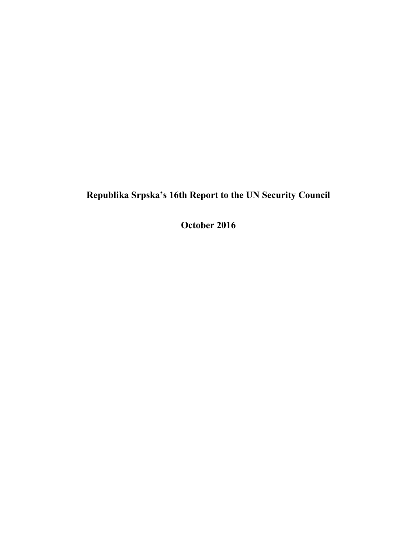# **Republika Srpska's 16th Report to the UN Security Council**

**October 2016**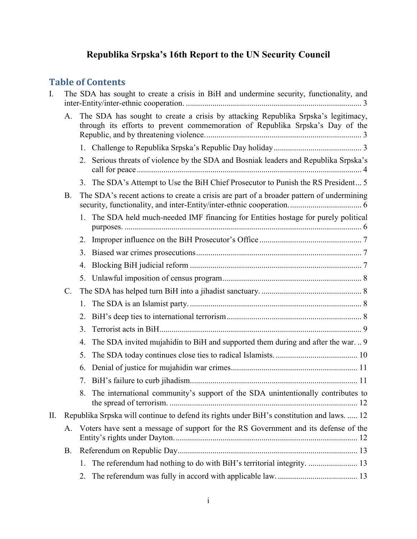# **Republika Srpska's 16th Report to the UN Security Council**

# **Table of Contents**

| $\mathbf{I}$ . | The SDA has sought to create a crisis in BiH and undermine security, functionality, and    |                                                                                                                                                                    |                                                                                      |  |  |  |
|----------------|--------------------------------------------------------------------------------------------|--------------------------------------------------------------------------------------------------------------------------------------------------------------------|--------------------------------------------------------------------------------------|--|--|--|
|                | A.                                                                                         | The SDA has sought to create a crisis by attacking Republika Srpska's legitimacy,<br>through its efforts to prevent commemoration of Republika Srpska's Day of the |                                                                                      |  |  |  |
|                |                                                                                            |                                                                                                                                                                    |                                                                                      |  |  |  |
|                |                                                                                            |                                                                                                                                                                    | 2. Serious threats of violence by the SDA and Bosniak leaders and Republika Srpska's |  |  |  |
|                |                                                                                            |                                                                                                                                                                    | 3. The SDA's Attempt to Use the BiH Chief Prosecutor to Punish the RS President 5    |  |  |  |
|                | <b>B.</b>                                                                                  | The SDA's recent actions to create a crisis are part of a broader pattern of undermining                                                                           |                                                                                      |  |  |  |
|                |                                                                                            |                                                                                                                                                                    | 1. The SDA held much-needed IMF financing for Entities hostage for purely political  |  |  |  |
|                |                                                                                            | 2.                                                                                                                                                                 |                                                                                      |  |  |  |
|                |                                                                                            | 3.                                                                                                                                                                 |                                                                                      |  |  |  |
|                |                                                                                            | 4.                                                                                                                                                                 |                                                                                      |  |  |  |
|                |                                                                                            | 5.                                                                                                                                                                 |                                                                                      |  |  |  |
|                | $\mathcal{C}$ .                                                                            |                                                                                                                                                                    |                                                                                      |  |  |  |
|                |                                                                                            | 1.                                                                                                                                                                 |                                                                                      |  |  |  |
|                |                                                                                            | 2.                                                                                                                                                                 |                                                                                      |  |  |  |
|                |                                                                                            | 3.                                                                                                                                                                 |                                                                                      |  |  |  |
|                |                                                                                            | 4.                                                                                                                                                                 | The SDA invited mujahidin to BiH and supported them during and after the war 9       |  |  |  |
|                |                                                                                            | 5.                                                                                                                                                                 |                                                                                      |  |  |  |
|                |                                                                                            | 6.                                                                                                                                                                 |                                                                                      |  |  |  |
|                |                                                                                            | 7.                                                                                                                                                                 |                                                                                      |  |  |  |
|                |                                                                                            | 8.                                                                                                                                                                 | The international community's support of the SDA unintentionally contributes to      |  |  |  |
| II.            | Republika Srpska will continue to defend its rights under BiH's constitution and laws.  12 |                                                                                                                                                                    |                                                                                      |  |  |  |
|                | Voters have sent a message of support for the RS Government and its defense of the<br>A.   |                                                                                                                                                                    |                                                                                      |  |  |  |
|                | B.                                                                                         |                                                                                                                                                                    |                                                                                      |  |  |  |
|                |                                                                                            | $1_{-}$                                                                                                                                                            | The referendum had nothing to do with BiH's territorial integrity.  13               |  |  |  |
|                |                                                                                            | 2.                                                                                                                                                                 |                                                                                      |  |  |  |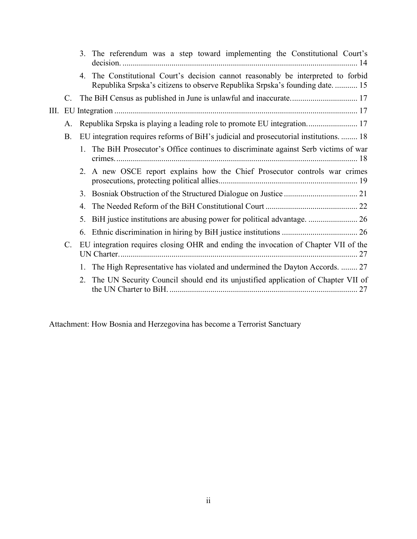|             |             |    | 3. The referendum was a step toward implementing the Constitutional Court's                                                                                  |
|-------------|-------------|----|--------------------------------------------------------------------------------------------------------------------------------------------------------------|
|             |             | 4. | The Constitutional Court's decision cannot reasonably be interpreted to forbid<br>Republika Srpska's citizens to observe Republika Srpska's founding date 15 |
|             |             |    |                                                                                                                                                              |
| Ш.          |             |    |                                                                                                                                                              |
|             | $A_{\cdot}$ |    | Republika Srpska is playing a leading role to promote EU integration 17                                                                                      |
|             | <b>B.</b>   |    | EU integration requires reforms of BiH's judicial and prosecutorial institutions.  18                                                                        |
|             |             |    | The BiH Prosecutor's Office continues to discriminate against Serb victims of war                                                                            |
|             |             | 2. | A new OSCE report explains how the Chief Prosecutor controls war crimes                                                                                      |
|             |             |    |                                                                                                                                                              |
|             |             | 4. |                                                                                                                                                              |
|             |             | 5. |                                                                                                                                                              |
|             |             | 6. |                                                                                                                                                              |
| $C_{\cdot}$ |             |    | EU integration requires closing OHR and ending the invocation of Chapter VII of the                                                                          |
|             |             |    | The High Representative has violated and undermined the Dayton Accords.  27                                                                                  |
|             |             | 2. | The UN Security Council should end its unjustified application of Chapter VII of                                                                             |

Attachment: How Bosnia and Herzegovina has become a Terrorist Sanctuary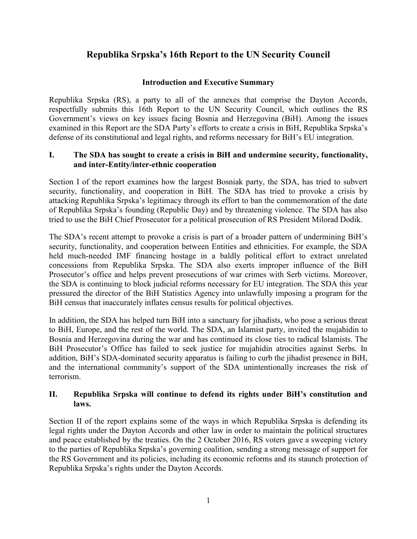# **Republika Srpska's 16th Report to the UN Security Council**

### **Introduction and Executive Summary**

Republika Srpska (RS), a party to all of the annexes that comprise the Dayton Accords, respectfully submits this 16th Report to the UN Security Council, which outlines the RS Government's views on key issues facing Bosnia and Herzegovina (BiH). Among the issues examined in this Report are the SDA Party's efforts to create a crisis in BiH, Republika Srpska's defense of its constitutional and legal rights, and reforms necessary for BiH's EU integration.

#### **I. The SDA has sought to create a crisis in BiH and undermine security, functionality, and inter-Entity/inter-ethnic cooperation**

Section I of the report examines how the largest Bosniak party, the SDA, has tried to subvert security, functionality, and cooperation in BiH. The SDA has tried to provoke a crisis by attacking Republika Srpska's legitimacy through its effort to ban the commemoration of the date of Republika Srpska's founding (Republic Day) and by threatening violence. The SDA has also tried to use the BiH Chief Prosecutor for a political prosecution of RS President Milorad Dodik.

The SDA's recent attempt to provoke a crisis is part of a broader pattern of undermining BiH's security, functionality, and cooperation between Entities and ethnicities. For example, the SDA held much-needed IMF financing hostage in a baldly political effort to extract unrelated concessions from Republika Srpska. The SDA also exerts improper influence of the BiH Prosecutor's office and helps prevent prosecutions of war crimes with Serb victims. Moreover, the SDA is continuing to block judicial reforms necessary for EU integration. The SDA this year pressured the director of the BiH Statistics Agency into unlawfully imposing a program for the BiH census that inaccurately inflates census results for political objectives.

In addition, the SDA has helped turn BiH into a sanctuary for jihadists, who pose a serious threat to BiH, Europe, and the rest of the world. The SDA, an Islamist party, invited the mujahidin to Bosnia and Herzegovina during the war and has continued its close ties to radical Islamists. The BiH Prosecutor's Office has failed to seek justice for mujahidin atrocities against Serbs. In addition, BiH's SDA-dominated security apparatus is failing to curb the jihadist presence in BiH, and the international community's support of the SDA unintentionally increases the risk of terrorism.

#### **II. Republika Srpska will continue to defend its rights under BiH's constitution and laws.**

Section II of the report explains some of the ways in which Republika Srpska is defending its legal rights under the Dayton Accords and other law in order to maintain the political structures and peace established by the treaties. On the 2 October 2016, RS voters gave a sweeping victory to the parties of Republika Srpska's governing coalition, sending a strong message of support for the RS Government and its policies, including its economic reforms and its staunch protection of Republika Srpska's rights under the Dayton Accords.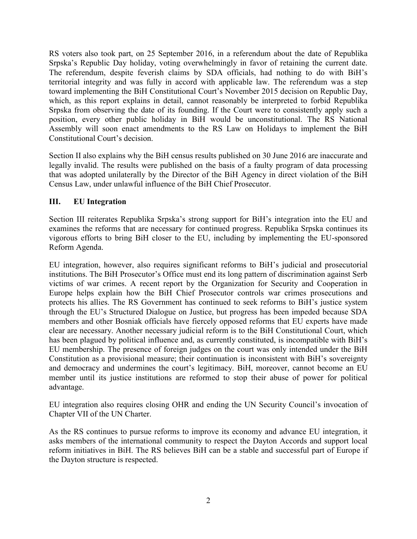RS voters also took part, on 25 September 2016, in a referendum about the date of Republika Srpska's Republic Day holiday, voting overwhelmingly in favor of retaining the current date. The referendum, despite feverish claims by SDA officials, had nothing to do with BiH's territorial integrity and was fully in accord with applicable law. The referendum was a step toward implementing the BiH Constitutional Court's November 2015 decision on Republic Day, which, as this report explains in detail, cannot reasonably be interpreted to forbid Republika Srpska from observing the date of its founding. If the Court were to consistently apply such a position, every other public holiday in BiH would be unconstitutional. The RS National Assembly will soon enact amendments to the RS Law on Holidays to implement the BiH Constitutional Court's decision.

Section II also explains why the BiH census results published on 30 June 2016 are inaccurate and legally invalid. The results were published on the basis of a faulty program of data processing that was adopted unilaterally by the Director of the BiH Agency in direct violation of the BiH Census Law, under unlawful influence of the BiH Chief Prosecutor.

### **III. EU Integration**

Section III reiterates Republika Srpska's strong support for BiH's integration into the EU and examines the reforms that are necessary for continued progress. Republika Srpska continues its vigorous efforts to bring BiH closer to the EU, including by implementing the EU-sponsored Reform Agenda.

EU integration, however, also requires significant reforms to BiH's judicial and prosecutorial institutions. The BiH Prosecutor's Office must end its long pattern of discrimination against Serb victims of war crimes. A recent report by the Organization for Security and Cooperation in Europe helps explain how the BiH Chief Prosecutor controls war crimes prosecutions and protects his allies. The RS Government has continued to seek reforms to BiH's justice system through the EU's Structured Dialogue on Justice, but progress has been impeded because SDA members and other Bosniak officials have fiercely opposed reforms that EU experts have made clear are necessary. Another necessary judicial reform is to the BiH Constitutional Court, which has been plagued by political influence and, as currently constituted, is incompatible with BiH's EU membership. The presence of foreign judges on the court was only intended under the BiH Constitution as a provisional measure; their continuation is inconsistent with BiH's sovereignty and democracy and undermines the court's legitimacy. BiH, moreover, cannot become an EU member until its justice institutions are reformed to stop their abuse of power for political advantage.

EU integration also requires closing OHR and ending the UN Security Council's invocation of Chapter VII of the UN Charter.

As the RS continues to pursue reforms to improve its economy and advance EU integration, it asks members of the international community to respect the Dayton Accords and support local reform initiatives in BiH. The RS believes BiH can be a stable and successful part of Europe if the Dayton structure is respected.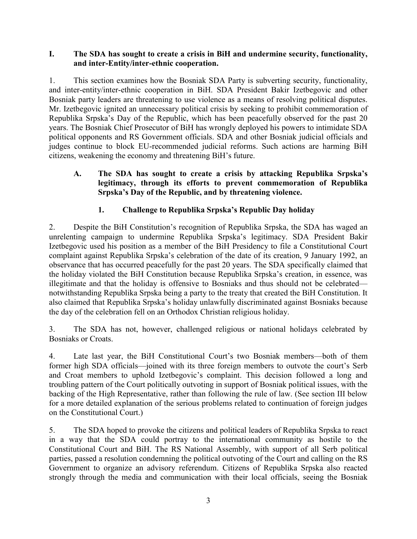### <span id="page-7-0"></span>**I. The SDA has sought to create a crisis in BiH and undermine security, functionality, and inter-Entity/inter-ethnic cooperation.**

1. This section examines how the Bosniak SDA Party is subverting security, functionality, and inter-entity/inter-ethnic cooperation in BiH. SDA President Bakir Izetbegovic and other Bosniak party leaders are threatening to use violence as a means of resolving political disputes. Mr. Izetbegovic ignited an unnecessary political crisis by seeking to prohibit commemoration of Republika Srpska's Day of the Republic, which has been peacefully observed for the past 20 years. The Bosniak Chief Prosecutor of BiH has wrongly deployed his powers to intimidate SDA political opponents and RS Government officials. SDA and other Bosniak judicial officials and judges continue to block EU-recommended judicial reforms. Such actions are harming BiH citizens, weakening the economy and threatening BiH's future.

### <span id="page-7-1"></span>**A. The SDA has sought to create a crisis by attacking Republika Srpska's legitimacy, through its efforts to prevent commemoration of Republika Srpska's Day of the Republic, and by threatening violence.**

# **1. Challenge to Republika Srpska's Republic Day holiday**

<span id="page-7-2"></span>2. Despite the BiH Constitution's recognition of Republika Srpska, the SDA has waged an unrelenting campaign to undermine Republika Srpska's legitimacy. SDA President Bakir Izetbegovic used his position as a member of the BiH Presidency to file a Constitutional Court complaint against Republika Srpska's celebration of the date of its creation, 9 January 1992, an observance that has occurred peacefully for the past 20 years. The SDA specifically claimed that the holiday violated the BiH Constitution because Republika Srpska's creation, in essence, was illegitimate and that the holiday is offensive to Bosniaks and thus should not be celebrated notwithstanding Republika Srpska being a party to the treaty that created the BiH Constitution. It also claimed that Republika Srpska's holiday unlawfully discriminated against Bosniaks because the day of the celebration fell on an Orthodox Christian religious holiday.

3. The SDA has not, however, challenged religious or national holidays celebrated by Bosniaks or Croats.

4. Late last year, the BiH Constitutional Court's two Bosniak members—both of them former high SDA officials—joined with its three foreign members to outvote the court's Serb and Croat members to uphold Izetbegovic's complaint. This decision followed a long and troubling pattern of the Court politically outvoting in support of Bosniak political issues, with the backing of the High Representative, rather than following the rule of law. (See section III below for a more detailed explanation of the serious problems related to continuation of foreign judges on the Constitutional Court.)

5. The SDA hoped to provoke the citizens and political leaders of Republika Srpska to react in a way that the SDA could portray to the international community as hostile to the Constitutional Court and BiH. The RS National Assembly, with support of all Serb political parties, passed a resolution condemning the political outvoting of the Court and calling on the RS Government to organize an advisory referendum. Citizens of Republika Srpska also reacted strongly through the media and communication with their local officials, seeing the Bosniak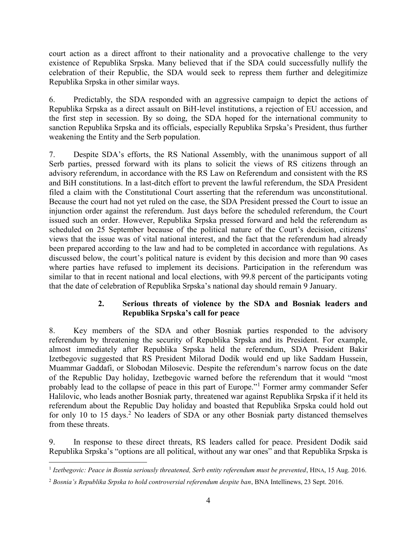court action as a direct affront to their nationality and a provocative challenge to the very existence of Republika Srpska. Many believed that if the SDA could successfully nullify the celebration of their Republic, the SDA would seek to repress them further and delegitimize Republika Srpska in other similar ways.

6. Predictably, the SDA responded with an aggressive campaign to depict the actions of Republika Srpska as a direct assault on BiH-level institutions, a rejection of EU accession, and the first step in secession. By so doing, the SDA hoped for the international community to sanction Republika Srpska and its officials, especially Republika Srpska's President, thus further weakening the Entity and the Serb population.

7. Despite SDA's efforts, the RS National Assembly, with the unanimous support of all Serb parties, pressed forward with its plans to solicit the views of RS citizens through an advisory referendum, in accordance with the RS Law on Referendum and consistent with the RS and BiH constitutions. In a last-ditch effort to prevent the lawful referendum, the SDA President filed a claim with the Constitutional Court asserting that the referendum was unconstitutional. Because the court had not yet ruled on the case, the SDA President pressed the Court to issue an injunction order against the referendum. Just days before the scheduled referendum, the Court issued such an order. However, Republika Srpska pressed forward and held the referendum as scheduled on 25 September because of the political nature of the Court's decision, citizens' views that the issue was of vital national interest, and the fact that the referendum had already been prepared according to the law and had to be completed in accordance with regulations. As discussed below, the court's political nature is evident by this decision and more than 90 cases where parties have refused to implement its decisions. Participation in the referendum was similar to that in recent national and local elections, with 99.8 percent of the participants voting that the date of celebration of Republika Srpska's national day should remain 9 January.

# **2. Serious threats of violence by the SDA and Bosniak leaders and Republika Srpska's call for peace**

<span id="page-8-0"></span>8. Key members of the SDA and other Bosniak parties responded to the advisory referendum by threatening the security of Republika Srpska and its President. For example, almost immediately after Republika Srpska held the referendum, SDA President Bakir Izetbegovic suggested that RS President Milorad Dodik would end up like Saddam Hussein, Muammar Gaddafi, or Slobodan Milosevic. Despite the referendum's narrow focus on the date of the Republic Day holiday, Izetbegovic warned before the referendum that it would "most probably lead to the collapse of peace in this part of Europe."<sup>1</sup> Former army commander Sefer Halilovic, who leads another Bosniak party, threatened war against Republika Srpska if it held its referendum about the Republic Day holiday and boasted that Republika Srpska could hold out for only 10 to 15 days.<sup>2</sup> No leaders of SDA or any other Bosniak party distanced themselves from these threats.

9. In response to these direct threats, RS leaders called for peace. President Dodik said Republika Srpska's "options are all political, without any war ones" and that Republika Srpska is

 1 *Izetbegovic: Peace in Bosnia seriously threatened, Serb entity referendum must be prevented*, HINA, 15 Aug. 2016.

<sup>2</sup> *Bosnia's Republika Srpska to hold controversial referendum despite ban*, BNA Intellinews, 23 Sept. 2016.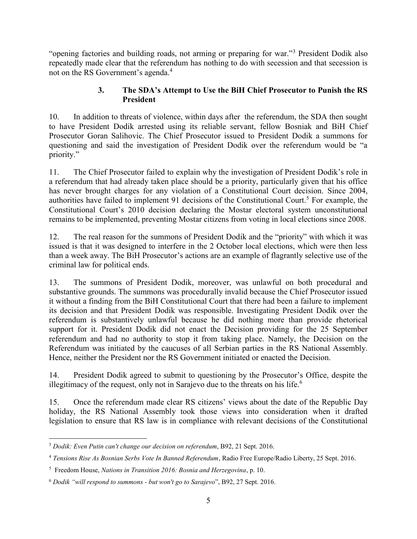"opening factories and building roads, not arming or preparing for war."<sup>3</sup> President Dodik also repeatedly made clear that the referendum has nothing to do with secession and that secession is not on the RS Government's agenda.<sup>4</sup>

### **3. The SDA's Attempt to Use the BiH Chief Prosecutor to Punish the RS President**

<span id="page-9-0"></span>10. In addition to threats of violence, within days after the referendum, the SDA then sought to have President Dodik arrested using its reliable servant, fellow Bosniak and BiH Chief Prosecutor Goran Salihovic. The Chief Prosecutor issued to President Dodik a summons for questioning and said the investigation of President Dodik over the referendum would be "a priority."

11. The Chief Prosecutor failed to explain why the investigation of President Dodik's role in a referendum that had already taken place should be a priority, particularly given that his office has never brought charges for any violation of a Constitutional Court decision. Since 2004, authorities have failed to implement 91 decisions of the Constitutional Court.<sup>5</sup> For example, the Constitutional Court's 2010 decision declaring the Mostar electoral system unconstitutional remains to be implemented, preventing Mostar citizens from voting in local elections since 2008.

12. The real reason for the summons of President Dodik and the "priority" with which it was issued is that it was designed to interfere in the 2 October local elections, which were then less than a week away. The BiH Prosecutor's actions are an example of flagrantly selective use of the criminal law for political ends.

13. The summons of President Dodik, moreover, was unlawful on both procedural and substantive grounds. The summons was procedurally invalid because the Chief Prosecutor issued it without a finding from the BiH Constitutional Court that there had been a failure to implement its decision and that President Dodik was responsible. Investigating President Dodik over the referendum is substantively unlawful because he did nothing more than provide rhetorical support for it. President Dodik did not enact the Decision providing for the 25 September referendum and had no authority to stop it from taking place. Namely, the Decision on the Referendum was initiated by the caucuses of all Serbian parties in the RS National Assembly. Hence, neither the President nor the RS Government initiated or enacted the Decision.

14. President Dodik agreed to submit to questioning by the Prosecutor's Office, despite the illegitimacy of the request, only not in Sarajevo due to the threats on his life.<sup>6</sup>

15. Once the referendum made clear RS citizens' views about the date of the Republic Day holiday, the RS National Assembly took those views into consideration when it drafted legislation to ensure that RS law is in compliance with relevant decisions of the Constitutional

 $\overline{a}$ <sup>3</sup> *Dodik: Even Putin can't change our decision on referendum*, B92, 21 Sept. 2016.

<sup>4</sup> *Tensions Rise As Bosnian Serbs Vote In Banned Referendum*, Radio Free Europe/Radio Liberty, 25 Sept. 2016.

<sup>5</sup> Freedom House, *Nations in Transition 2016: Bosnia and Herzegovina*, p. 10.

<sup>6</sup> *Dodik "will respond to summons - but won't go to Sarajevo*", B92, 27 Sept. 2016.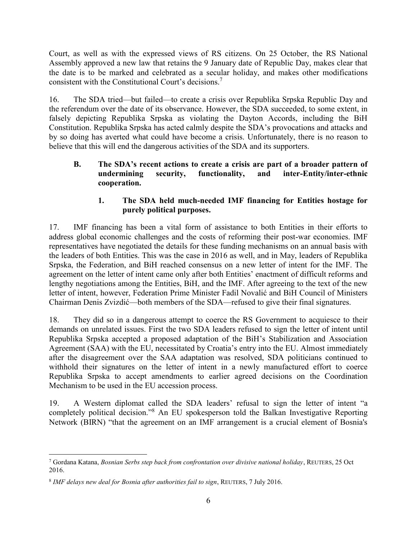Court, as well as with the expressed views of RS citizens. On 25 October, the RS National Assembly approved a new law that retains the 9 January date of Republic Day, makes clear that the date is to be marked and celebrated as a secular holiday, and makes other modifications consistent with the Constitutional Court's decisions.<sup>7</sup>

16. The SDA tried—but failed—to create a crisis over Republika Srpska Republic Day and the referendum over the date of its observance. However, the SDA succeeded, to some extent, in falsely depicting Republika Srpska as violating the Dayton Accords, including the BiH Constitution. Republika Srpska has acted calmly despite the SDA's provocations and attacks and by so doing has averted what could have become a crisis. Unfortunately, there is no reason to believe that this will end the dangerous activities of the SDA and its supporters.

### <span id="page-10-0"></span>**B. The SDA's recent actions to create a crisis are part of a broader pattern of undermining security, functionality, and inter-Entity/inter-ethnic cooperation.**

# **1. The SDA held much-needed IMF financing for Entities hostage for purely political purposes.**

<span id="page-10-1"></span>17. IMF financing has been a vital form of assistance to both Entities in their efforts to address global economic challenges and the costs of reforming their post-war economies. IMF representatives have negotiated the details for these funding mechanisms on an annual basis with the leaders of both Entities. This was the case in 2016 as well, and in May, leaders of Republika Srpska, the Federation, and BiH reached consensus on a new letter of intent for the IMF. The agreement on the letter of intent came only after both Entities' enactment of difficult reforms and lengthy negotiations among the Entities, BiH, and the IMF. After agreeing to the text of the new letter of intent, however, Federation Prime Minister Fadil Novalić and BiH Council of Ministers Chairman Denis Zvizdić—both members of the SDA—refused to give their final signatures.

18. They did so in a dangerous attempt to coerce the RS Government to acquiesce to their demands on unrelated issues. First the two SDA leaders refused to sign the letter of intent until Republika Srpska accepted a proposed adaptation of the BiH's Stabilization and Association Agreement (SAA) with the EU, necessitated by Croatia's entry into the EU. Almost immediately after the disagreement over the SAA adaptation was resolved, SDA politicians continued to withhold their signatures on the letter of intent in a newly manufactured effort to coerce Republika Srpska to accept amendments to earlier agreed decisions on the Coordination Mechanism to be used in the EU accession process.

19. A Western diplomat called the SDA leaders' refusal to sign the letter of intent "a completely political decision."<sup>8</sup> An EU spokesperson told the Balkan Investigative Reporting Network (BIRN) "that the agreement on an IMF arrangement is a crucial element of Bosnia's

 $\overline{a}$ 7 Gordana Katana, *Bosnian Serbs step back from confrontation over divisive national holiday*, REUTERS, 25 Oct 2016.

<sup>8</sup> *IMF delays new deal for Bosnia after authorities fail to sign*, REUTERS, 7 July 2016.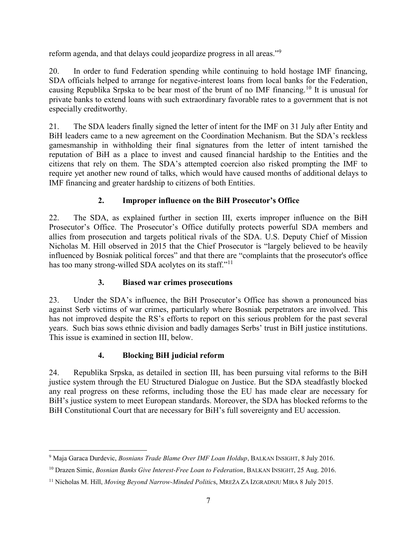reform agenda, and that delays could jeopardize progress in all areas."<sup>9</sup>

20. In order to fund Federation spending while continuing to hold hostage IMF financing, SDA officials helped to arrange for negative-interest loans from local banks for the Federation, causing Republika Srpska to be bear most of the brunt of no IMF financing.<sup>10</sup> It is unusual for private banks to extend loans with such extraordinary favorable rates to a government that is not especially creditworthy.

21. The SDA leaders finally signed the letter of intent for the IMF on 31 July after Entity and BiH leaders came to a new agreement on the Coordination Mechanism. But the SDA's reckless gamesmanship in withholding their final signatures from the letter of intent tarnished the reputation of BiH as a place to invest and caused financial hardship to the Entities and the citizens that rely on them. The SDA's attempted coercion also risked prompting the IMF to require yet another new round of talks, which would have caused months of additional delays to IMF financing and greater hardship to citizens of both Entities.

# **2. Improper influence on the BiH Prosecutor's Office**

<span id="page-11-0"></span>22. The SDA, as explained further in section III, exerts improper influence on the BiH Prosecutor's Office. The Prosecutor's Office dutifully protects powerful SDA members and allies from prosecution and targets political rivals of the SDA. U.S. Deputy Chief of Mission Nicholas M. Hill observed in 2015 that the Chief Prosecutor is "largely believed to be heavily influenced by Bosniak political forces" and that there are "complaints that the prosecutor's office has too many strong-willed SDA acolytes on its staff."<sup>11</sup>

# **3. Biased war crimes prosecutions**

<span id="page-11-1"></span>23. Under the SDA's influence, the BiH Prosecutor's Office has shown a pronounced bias against Serb victims of war crimes, particularly where Bosniak perpetrators are involved. This has not improved despite the RS's efforts to report on this serious problem for the past several years. Such bias sows ethnic division and badly damages Serbs' trust in BiH justice institutions. This issue is examined in section III, below.

# **4. Blocking BiH judicial reform**

<span id="page-11-2"></span>24. Republika Srpska, as detailed in section III, has been pursuing vital reforms to the BiH justice system through the EU Structured Dialogue on Justice. But the SDA steadfastly blocked any real progress on these reforms, including those the EU has made clear are necessary for BiH's justice system to meet European standards. Moreover, the SDA has blocked reforms to the BiH Constitutional Court that are necessary for BiH's full sovereignty and EU accession.

 $\overline{a}$ 9 Maja Garaca Durdevic, *Bosnians Trade Blame Over IMF Loan Holdup*, BALKAN INSIGHT, 8 July 2016.

<sup>10</sup> Drazen Simic, *Bosnian Banks Give Interest-Free Loan to Federation*, BALKAN INSIGHT, 25 Aug. 2016.

<sup>11</sup> Nicholas M. Hill, *Moving Beyond Narrow-Minded Politic*s, MREŽA ZA IZGRADNJU MIRA 8 July 2015.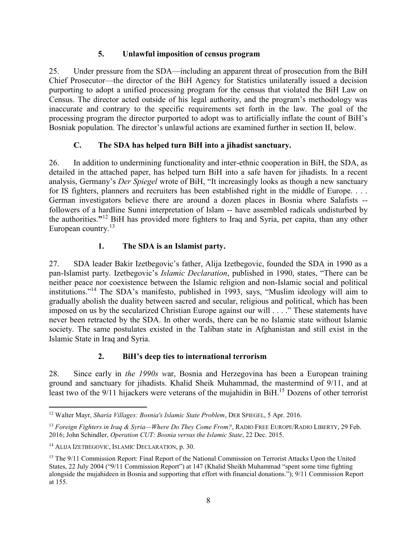# **5. Unlawful imposition of census program**

<span id="page-12-0"></span>25. Under pressure from the SDA—including an apparent threat of prosecution from the BiH Chief Prosecutor—the director of the BiH Agency for Statistics unilaterally issued a decision purporting to adopt a unified processing program for the census that violated the BiH Law on Census. The director acted outside of his legal authority, and the program's methodology was inaccurate and contrary to the specific requirements set forth in the law. The goal of the processing program the director purported to adopt was to artificially inflate the count of BiH's Bosniak population. The director's unlawful actions are examined further in section II, below.

# **C. The SDA has helped turn BiH into a jihadist sanctuary.**

<span id="page-12-1"></span>26. In addition to undermining functionality and inter-ethnic cooperation in BiH, the SDA, as detailed in the attached paper, has helped turn BiH into a safe haven for jihadists. In a recent analysis, Germany's *Der Spiegel* wrote of BiH, "It increasingly looks as though a new sanctuary for IS fighters, planners and recruiters has been established right in the middle of Europe. . . . German investigators believe there are around a dozen places in Bosnia where Salafists - followers of a hardline Sunni interpretation of Islam -- have assembled radicals undisturbed by the authorities.**"** <sup>12</sup> BiH has provided more fighters to Iraq and Syria, per capita, than any other European country.<sup>13</sup>

# **1. The SDA is an Islamist party.**

<span id="page-12-2"></span>27. SDA leader Bakir Izetbegovic's father, Alija Izetbegovic, founded the SDA in 1990 as a pan-Islamist party. Izetbegovic's *Islamic Declaration*, published in 1990, states, "There can be neither peace nor coexistence between the Islamic religion and non-Islamic social and political institutions."<sup>14</sup> The SDA's manifesto, published in 1993, says, "Muslim ideology will aim to gradually abolish the duality between sacred and secular, religious and political, which has been imposed on us by the secularized Christian Europe against our will . . . ." These statements have never been retracted by the SDA. In other words, there can be no Islamic state without Islamic society. The same postulates existed in the Taliban state in Afghanistan and still exist in the Islamic State in Iraq and Syria.

# **2. BiH's deep ties to international terrorism**

<span id="page-12-3"></span>28. Since early in *the 1990s w*ar, Bosnia and Herzegovina has been a European training ground and sanctuary for jihadists. Khalid Sheik Muhammad, the mastermind of 9/11, and at least two of the 9/11 hijackers were veterans of the mujahidin in BiH.<sup>15</sup> Dozens of other terrorist

 $\overline{a}$ <sup>12</sup> Walter Mayr, *Sharia Villages: Bosnia's Islamic State Problem*, DER SPIEGEL, 5 Apr. 2016.

<sup>&</sup>lt;sup>13</sup> Foreign Fighters in Iraq & Syria—Where Do They Come From?, RADIO FREE EUROPE/RADIO LIBERTY, 29 Feb. 2016; John Schindler, *Operation CUT: Bosnia versus the Islamic State*, 22 Dec. 2015.

<sup>14</sup> ALIJA IZETBEGOVIC, ISLAMIC DECLARATION, p. 30.

<sup>&</sup>lt;sup>15</sup> The 9/11 Commission Report: Final Report of the National Commission on Terrorist Attacks Upon the United States, 22 July 2004 ("9/11 Commission Report") at 147 (Khalid Sheikh Muhammad "spent some time fighting alongside the mujahideen in Bosnia and supporting that effort with financial donations."); 9/11 Commission Report at 155.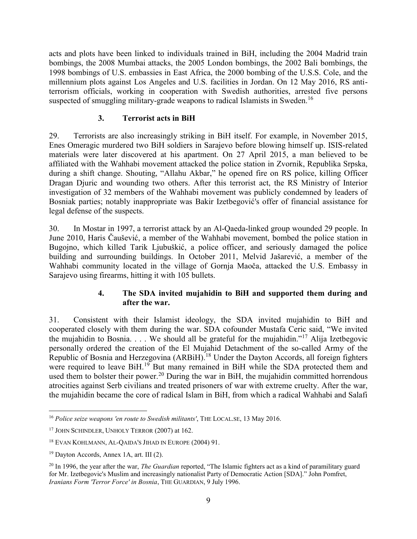acts and plots have been linked to individuals trained in BiH, including the 2004 Madrid train bombings, the 2008 Mumbai attacks, the 2005 London bombings, the 2002 Bali bombings, the 1998 bombings of U.S. embassies in East Africa, the 2000 bombing of the U.S.S. Cole, and the millennium plots against Los Angeles and U.S. facilities in Jordan. On 12 May 2016, RS antiterrorism officials, working in cooperation with Swedish authorities, arrested five persons suspected of smuggling military-grade weapons to radical Islamists in Sweden.<sup>16</sup>

# **3. Terrorist acts in BiH**

<span id="page-13-0"></span>29. Terrorists are also increasingly striking in BiH itself. For example, in November 2015, Enes Omeragic murdered two BiH soldiers in Sarajevo before blowing himself up. ISIS-related materials were later discovered at his apartment. On 27 April 2015, a man believed to be affiliated with the Wahhabi movement attacked the police station in Zvornik, Republika Srpska, during a shift change. Shouting, "Allahu Akbar," he opened fire on RS police, killing Officer Dragan Djuric and wounding two others. After this terrorist act, the RS Ministry of Interior investigation of 32 members of the Wahhabi movement was publicly condemned by leaders of Bosniak parties; notably inappropriate was Bakir Izetbegović's offer of financial assistance for legal defense of the suspects.

30. In Mostar in 1997, a terrorist attack by an Al-Qaeda-linked group wounded 29 people. In June 2010, Haris Čaušević, a member of the Wahhabi movement, bombed the police station in Bugojno, which killed Tarik Ljubuškić, a police officer, and seriously damaged the police building and surrounding buildings. In October 2011, Melvid Jašarević, a member of the Wahhabi community located in the village of Gornja Maoča, attacked the U.S. Embassy in Sarajevo using firearms, hitting it with 105 bullets.

# **4. The SDA invited mujahidin to BiH and supported them during and after the war.**

<span id="page-13-1"></span>31. Consistent with their Islamist ideology, the SDA invited mujahidin to BiH and cooperated closely with them during the war. SDA cofounder Mustafa Ceric said, "We invited the mujahidin to Bosnia.... We should all be grateful for the mujahidin."<sup>17</sup> Alija Izetbegovic personally ordered the creation of the El Mujahid Detachment of the so-called Army of the Republic of Bosnia and Herzegovina (ARBiH).<sup>18</sup> Under the Dayton Accords, all foreign fighters were required to leave BiH.<sup>19</sup> But many remained in BiH while the SDA protected them and used them to bolster their power.<sup>20</sup> During the war in BiH, the mujahidin committed horrendous atrocities against Serb civilians and treated prisoners of war with extreme cruelty. After the war, the mujahidin became the core of radical Islam in BiH, from which a radical Wahhabi and Salafi

 $\overline{a}$ <sup>16</sup> *Police seize weapons 'en route to Swedish militants'*, THE LOCAL.SE, 13 May 2016.

<sup>17</sup> JOHN SCHINDLER, UNHOLY TERROR (2007) at 162.

<sup>18</sup> EVAN KOHLMANN, AL-QAIDA'S JIHAD IN EUROPE (2004) 91.

<sup>19</sup> Dayton Accords, Annex 1A, art. III (2).

<sup>20</sup> In 1996, the year after the war, *The Guardian* reported, "The Islamic fighters act as a kind of paramilitary guard for Mr. Izetbegovic's Muslim and increasingly nationalist Party of Democratic Action [SDA]." John Pomfret, *Iranians Form 'Terror Force' in Bosnia*, THE GUARDIAN, 9 July 1996.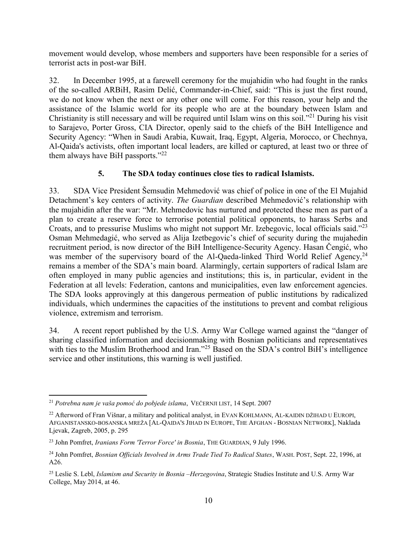movement would develop, whose members and supporters have been responsible for a series of terrorist acts in post-war BiH.

32. In December 1995, at a farewell ceremony for the mujahidin who had fought in the ranks of the so-called ARBiH, Rasim Delić, Commander-in-Chief, said: "This is just the first round, we do not know when the next or any other one will come. For this reason, your help and the assistance of the Islamic world for its people who are at the boundary between Islam and Christianity is still necessary and will be required until Islam wins on this soil."<sup>21</sup> During his visit to Sarajevo, Porter Gross, CIA Director, openly said to the chiefs of the BiH Intelligence and Security Agency: "When in Saudi Arabia, Kuwait, Iraq, Egypt, Algeria, Morocco, or Chechnya, Al-Qaida's activists, often important local leaders, are killed or captured, at least two or three of them always have BiH passports."<sup>22</sup>

# **5. The SDA today continues close ties to radical Islamists.**

<span id="page-14-0"></span>33. SDA Vice President Šemsudin Mehmedović was chief of police in one of the El Mujahid Detachment's key centers of activity. *The Guardian* described Mehmedović's relationship with the mujahidin after the war: "Mr. Mehmedovic has nurtured and protected these men as part of a plan to create a reserve force to terrorise potential political opponents, to harass Serbs and Croats, and to pressurise Muslims who might not support Mr. Izebegovic, local officials said."<sup>23</sup> Osman Mehmedagić, who served as Alija Izetbegovic's chief of security during the mujahedin recruitment period, is now director of the BiH Intelligence-Security Agency. Hasan Čengić, who was member of the supervisory board of the Al-Qaeda-linked Third World Relief Agency,  $24$ remains a member of the SDA's main board. Alarmingly, certain supporters of radical Islam are often employed in many public agencies and institutions; this is, in particular, evident in the Federation at all levels: Federation, cantons and municipalities, even law enforcement agencies. The SDA looks approvingly at this dangerous permeation of public institutions by radicalized individuals, which undermines the capacities of the institutions to prevent and combat religious violence, extremism and terrorism.

34. A recent report published by the U.S. Army War College warned against the "danger of sharing classified information and decisionmaking with Bosnian politicians and representatives with ties to the Muslim Brotherhood and Iran."<sup>25</sup> Based on the SDA's control BiH's intelligence service and other institutions, this warning is well justified.

 $\overline{a}$ <sup>21</sup> *Potrebna nam je vaša pomoć do pobjede islama*, VEČERNJI LIST, 14 Sept. 2007

<sup>&</sup>lt;sup>22</sup> Afterword of Fran Višnar, a military and political analyst, in EVAN KOHLMANN, AL-KAIDIN DŽIHAD U EUROPI, AFGANISTANSKO-BOSANSKA MREŽA [AL-QAIDA'S JIHAD IN EUROPE, THE AFGHAN - BOSNIAN NETWORK], Naklada Ljevak, Zagreb, 2005, p. 295

<sup>23</sup> John Pomfret, *Iranians Form 'Terror Force' in Bosnia*, THE GUARDIAN, 9 July 1996.

<sup>24</sup> John Pomfret, *Bosnian Officials Involved in Arms Trade Tied To Radical States*, WASH. POST, Sept. 22, 1996, at A26.

<sup>25</sup> Leslie S. Lebl, *Islamism and Security in Bosnia –Herzegovina*, Strategic Studies Institute and U.S. Army War College, May 2014, at 46.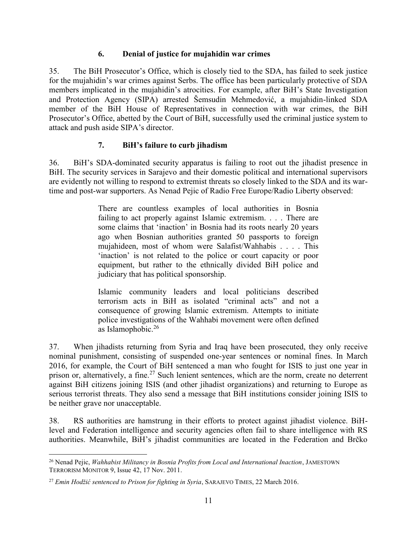### **6. Denial of justice for mujahidin war crimes**

<span id="page-15-0"></span>35. The BiH Prosecutor's Office, which is closely tied to the SDA, has failed to seek justice for the mujahidin's war crimes against Serbs. The office has been particularly protective of SDA members implicated in the mujahidin's atrocities. For example, after BiH's State Investigation and Protection Agency (SIPA) arrested Šemsudin Mehmedović, a mujahidin-linked SDA member of the BiH House of Representatives in connection with war crimes, the BiH Prosecutor's Office, abetted by the Court of BiH, successfully used the criminal justice system to attack and push aside SIPA's director.

# **7. BiH's failure to curb jihadism**

<span id="page-15-1"></span>36. BiH's SDA-dominated security apparatus is failing to root out the jihadist presence in BiH. The security services in Sarajevo and their domestic political and international supervisors are evidently not willing to respond to extremist threats so closely linked to the SDA and its wartime and post-war supporters. As Nenad Pejic of Radio Free Europe/Radio Liberty observed:

> There are countless examples of local authorities in Bosnia failing to act properly against Islamic extremism. . . . There are some claims that 'inaction' in Bosnia had its roots nearly 20 years ago when Bosnian authorities granted 50 passports to foreign mujahideen, most of whom were Salafist/Wahhabis . . . . This 'inaction' is not related to the police or court capacity or poor equipment, but rather to the ethnically divided BiH police and judiciary that has political sponsorship.

> Islamic community leaders and local politicians described terrorism acts in BiH as isolated "criminal acts" and not a consequence of growing Islamic extremism. Attempts to initiate police investigations of the Wahhabi movement were often defined as Islamophobic.<sup>26</sup>

37. When jihadists returning from Syria and Iraq have been prosecuted, they only receive nominal punishment, consisting of suspended one-year sentences or nominal fines. In March 2016, for example, the Court of BiH sentenced a man who fought for ISIS to just one year in prison or, alternatively, a fine.<sup>27</sup> Such lenient sentences, which are the norm, create no deterrent against BiH citizens joining ISIS (and other jihadist organizations) and returning to Europe as serious terrorist threats. They also send a message that BiH institutions consider joining ISIS to be neither grave nor unacceptable.

38. RS authorities are hamstrung in their efforts to protect against jihadist violence. BiHlevel and Federation intelligence and security agencies often fail to share intelligence with RS authorities. Meanwhile, BiH's jihadist communities are located in the Federation and Brčko

 $\overline{a}$ <sup>26</sup> Nenad Pejic, *Wahhabist Militancy in Bosnia Profits from Local and International Inaction*, JAMESTOWN TERRORISM MONITOR 9, Issue 42, 17 Nov. 2011.

<sup>27</sup> *Emin Hodžić sentenced to Prison for fighting in Syria*, SARAJEVO TIMES, 22 March 2016.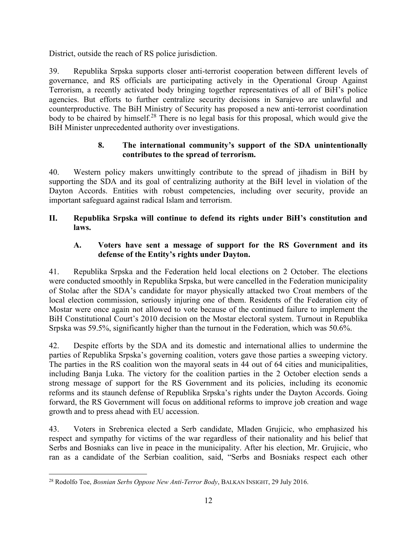District, outside the reach of RS police jurisdiction.

39. Republika Srpska supports closer anti-terrorist cooperation between different levels of governance, and RS officials are participating actively in the Operational Group Against Terrorism, a recently activated body bringing together representatives of all of BiH's police agencies. But efforts to further centralize security decisions in Sarajevo are unlawful and counterproductive. The BiH Ministry of Security has proposed a new anti-terrorist coordination body to be chaired by himself.<sup>28</sup> There is no legal basis for this proposal, which would give the BiH Minister unprecedented authority over investigations.

### **8. The international community's support of the SDA unintentionally contributes to the spread of terrorism.**

<span id="page-16-0"></span>40. Western policy makers unwittingly contribute to the spread of jihadism in BiH by supporting the SDA and its goal of centralizing authority at the BiH level in violation of the Dayton Accords. Entities with robust competencies, including over security, provide an important safeguard against radical Islam and terrorism.

# <span id="page-16-1"></span>**II. Republika Srpska will continue to defend its rights under BiH's constitution and laws.**

### <span id="page-16-2"></span>**A. Voters have sent a message of support for the RS Government and its defense of the Entity's rights under Dayton.**

41. Republika Srpska and the Federation held local elections on 2 October. The elections were conducted smoothly in Republika Srpska, but were cancelled in the Federation municipality of Stolac after the SDA's candidate for mayor physically attacked two Croat members of the local election commission, seriously injuring one of them. Residents of the Federation city of Mostar were once again not allowed to vote because of the continued failure to implement the BiH Constitutional Court's 2010 decision on the Mostar electoral system. Turnout in Republika Srpska was 59.5%, significantly higher than the turnout in the Federation, which was 50.6%.

42. Despite efforts by the SDA and its domestic and international allies to undermine the parties of Republika Srpska's governing coalition, voters gave those parties a sweeping victory. The parties in the RS coalition won the mayoral seats in 44 out of 64 cities and municipalities, including Banja Luka. The victory for the coalition parties in the 2 October election sends a strong message of support for the RS Government and its policies, including its economic reforms and its staunch defense of Republika Srpska's rights under the Dayton Accords. Going forward, the RS Government will focus on additional reforms to improve job creation and wage growth and to press ahead with EU accession.

43. Voters in Srebrenica elected a Serb candidate, Mladen Grujicic, who emphasized his respect and sympathy for victims of the war regardless of their nationality and his belief that Serbs and Bosniaks can live in peace in the municipality. After his election, Mr. Grujicic, who ran as a candidate of the Serbian coalition, said, "Serbs and Bosniaks respect each other

 $\overline{a}$ <sup>28</sup> Rodolfo Toe, *Bosnian Serbs Oppose New Anti-Terror Body*, BALKAN INSIGHT, 29 July 2016.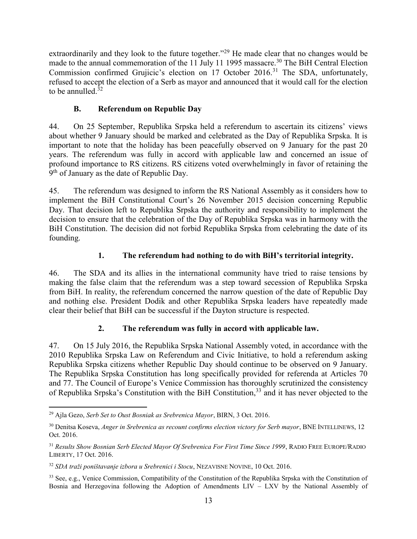extraordinarily and they look to the future together."<sup>29</sup> He made clear that no changes would be made to the annual commemoration of the 11 July 11 1995 massacre.<sup>30</sup> The BiH Central Election Commission confirmed Grujicic's election on  $17$  October 2016.<sup>31</sup> The SDA, unfortunately, refused to accept the election of a Serb as mayor and announced that it would call for the election to be annulled.<sup>32</sup>

# **B. Referendum on Republic Day**

<span id="page-17-0"></span>44. On 25 September, Republika Srpska held a referendum to ascertain its citizens' views about whether 9 January should be marked and celebrated as the Day of Republika Srpska. It is important to note that the holiday has been peacefully observed on 9 January for the past 20 years. The referendum was fully in accord with applicable law and concerned an issue of profound importance to RS citizens. RS citizens voted overwhelmingly in favor of retaining the 9<sup>th</sup> of January as the date of Republic Day.

45. The referendum was designed to inform the RS National Assembly as it considers how to implement the BiH Constitutional Court's 26 November 2015 decision concerning Republic Day. That decision left to Republika Srpska the authority and responsibility to implement the decision to ensure that the celebration of the Day of Republika Srpska was in harmony with the BiH Constitution. The decision did not forbid Republika Srpska from celebrating the date of its founding.

# **1. The referendum had nothing to do with BiH's territorial integrity.**

<span id="page-17-1"></span>46. The SDA and its allies in the international community have tried to raise tensions by making the false claim that the referendum was a step toward secession of Republika Srpska from BiH. In reality, the referendum concerned the narrow question of the date of Republic Day and nothing else. President Dodik and other Republika Srpska leaders have repeatedly made clear their belief that BiH can be successful if the Dayton structure is respected.

# **2. The referendum was fully in accord with applicable law.**

<span id="page-17-2"></span>47. On 15 July 2016, the Republika Srpska National Assembly voted, in accordance with the 2010 Republika Srpska Law on Referendum and Civic Initiative, to hold a referendum asking Republika Srpska citizens whether Republic Day should continue to be observed on 9 January. The Republika Srpska Constitution has long specifically provided for referenda at Articles 70 and 77. The Council of Europe's Venice Commission has thoroughly scrutinized the consistency of Republika Srpska's Constitution with the BiH Constitution,<sup>33</sup> and it has never objected to the

 $\overline{a}$ <sup>29</sup> Ajla Gezo, *Serb Set to Oust Bosniak as Srebrenica Mayor*, BIRN, 3 Oct. 2016.

<sup>&</sup>lt;sup>30</sup> Denitsa Koseva, *Anger in Srebrenica as recount confirms election victory for Serb mayor*, BNE INTELLINEWS, 12 Oct. 2016.

<sup>31</sup> *Results Show Bosnian Serb Elected Mayor Of Srebrenica For First Time Since 1999*, RADIO FREE EUROPE/RADIO LIBERTY, 17 Oct. 2016.

<sup>32</sup> *SDA traži poništavanje izbora u Srebrenici i Stocu*, NEZAVISNE NOVINE, 10 Oct. 2016.

<sup>&</sup>lt;sup>33</sup> See, e.g., Venice Commission, Compatibility of the Constitution of the Republika Srpska with the Constitution of Bosnia and Herzegovina following the Adoption of Amendments LIV – LXV by the National Assembly of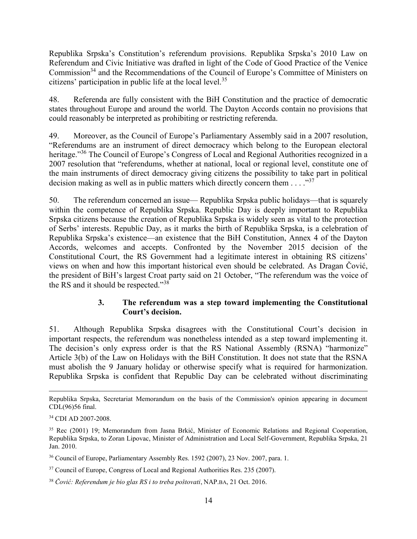Republika Srpska's Constitution's referendum provisions. Republika Srpska's 2010 Law on Referendum and Civic Initiative was drafted in light of the Code of Good Practice of the Venice Commission<sup>34</sup> and the Recommendations of the Council of Europe's Committee of Ministers on citizens' participation in public life at the local level.<sup>35</sup>

48. Referenda are fully consistent with the BiH Constitution and the practice of democratic states throughout Europe and around the world. The Dayton Accords contain no provisions that could reasonably be interpreted as prohibiting or restricting referenda.

49. Moreover, as the Council of Europe's Parliamentary Assembly said in a 2007 resolution, "Referendums are an instrument of direct democracy which belong to the European electoral heritage."<sup>36</sup> The Council of Europe's Congress of Local and Regional Authorities recognized in a 2007 resolution that "referendums, whether at national, local or regional level, constitute one of the main instruments of direct democracy giving citizens the possibility to take part in political decision making as well as in public matters which directly concern them  $\ldots$  ..."<sup>37</sup>

50. The referendum concerned an issue— Republika Srpska public holidays—that is squarely within the competence of Republika Srpska. Republic Day is deeply important to Republika Srpska citizens because the creation of Republika Srpska is widely seen as vital to the protection of Serbs' interests. Republic Day, as it marks the birth of Republika Srpska, is a celebration of Republika Srpska's existence—an existence that the BiH Constitution, Annex 4 of the Dayton Accords, welcomes and accepts. Confronted by the November 2015 decision of the Constitutional Court, the RS Government had a legitimate interest in obtaining RS citizens' views on when and how this important historical even should be celebrated. As Dragan Čović, the president of BiH's largest Croat party said on 21 October, "The referendum was the voice of the RS and it should be respected."<sup>38</sup>

#### **3. The referendum was a step toward implementing the Constitutional Court's decision.**

<span id="page-18-0"></span>51. Although Republika Srpska disagrees with the Constitutional Court's decision in important respects, the referendum was nonetheless intended as a step toward implementing it. The decision's only express order is that the RS National Assembly (RSNA) "harmonize" Article 3(b) of the Law on Holidays with the BiH Constitution. It does not state that the RSNA must abolish the 9 January holiday or otherwise specify what is required for harmonization. Republika Srpska is confident that Republic Day can be celebrated without discriminating

 $\overline{a}$ Republika Srpska, Secretariat Memorandum on the basis of the Commission's opinion appearing in document CDL(96)56 final.

<sup>34</sup> CDI AD 2007-2008.

<sup>35</sup> Rec (2001) 19; Memorandum from Jasna Brkić, Minister of Economic Relations and Regional Cooperation, Republika Srpska, to Zoran Lipovac, Minister of Administration and Local Self-Government, Republika Srpska, 21 Jan. 2010.

<sup>36</sup> Council of Europe, Parliamentary Assembly Res. 1592 (2007), 23 Nov. 2007, para. 1.

<sup>&</sup>lt;sup>37</sup> Council of Europe, Congress of Local and Regional Authorities Res. 235 (2007).

<sup>38</sup> *Čović: Referendum je bio glas RS i to treba poštovati*, NAP.BA, 21 Oct. 2016.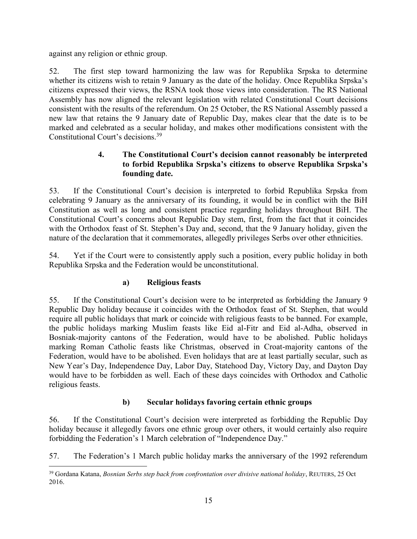against any religion or ethnic group.

52. The first step toward harmonizing the law was for Republika Srpska to determine whether its citizens wish to retain 9 January as the date of the holiday. Once Republika Srpska's citizens expressed their views, the RSNA took those views into consideration. The RS National Assembly has now aligned the relevant legislation with related Constitutional Court decisions consistent with the results of the referendum. On 25 October, the RS National Assembly passed a new law that retains the 9 January date of Republic Day, makes clear that the date is to be marked and celebrated as a secular holiday, and makes other modifications consistent with the Constitutional Court's decisions.<sup>39</sup>

# **4. The Constitutional Court's decision cannot reasonably be interpreted to forbid Republika Srpska's citizens to observe Republika Srpska's founding date.**

<span id="page-19-0"></span>53. If the Constitutional Court's decision is interpreted to forbid Republika Srpska from celebrating 9 January as the anniversary of its founding, it would be in conflict with the BiH Constitution as well as long and consistent practice regarding holidays throughout BiH. The Constitutional Court's concerns about Republic Day stem, first, from the fact that it coincides with the Orthodox feast of St. Stephen's Day and, second, that the 9 January holiday, given the nature of the declaration that it commemorates, allegedly privileges Serbs over other ethnicities.

54. Yet if the Court were to consistently apply such a position, every public holiday in both Republika Srpska and the Federation would be unconstitutional.

### **a) Religious feasts**

55. If the Constitutional Court's decision were to be interpreted as forbidding the January 9 Republic Day holiday because it coincides with the Orthodox feast of St. Stephen, that would require all public holidays that mark or coincide with religious feasts to be banned. For example, the public holidays marking Muslim feasts like Eid al-Fitr and Eid al-Adha, observed in Bosniak-majority cantons of the Federation, would have to be abolished. Public holidays marking Roman Catholic feasts like Christmas, observed in Croat-majority cantons of the Federation, would have to be abolished. Even holidays that are at least partially secular, such as New Year's Day, Independence Day, Labor Day, Statehood Day, Victory Day, and Dayton Day would have to be forbidden as well. Each of these days coincides with Orthodox and Catholic religious feasts.

# **b) Secular holidays favoring certain ethnic groups**

56. If the Constitutional Court's decision were interpreted as forbidding the Republic Day holiday because it allegedly favors one ethnic group over others, it would certainly also require forbidding the Federation's 1 March celebration of "Independence Day."

57. The Federation's 1 March public holiday marks the anniversary of the 1992 referendum

 $\overline{a}$ <sup>39</sup> Gordana Katana, *Bosnian Serbs step back from confrontation over divisive national holiday*, REUTERS, 25 Oct 2016.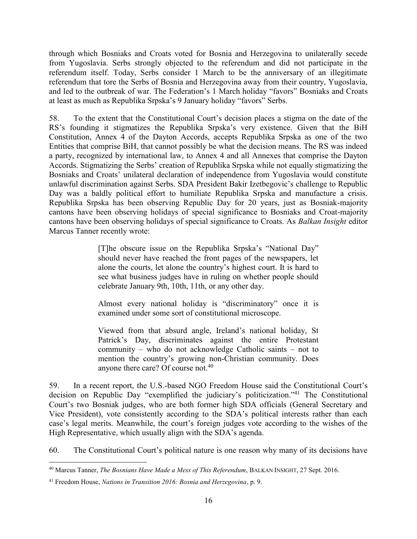through which Bosniaks and Croats voted for Bosnia and Herzegovina to unilaterally secede from Yugoslavia. Serbs strongly objected to the referendum and did not participate in the referendum itself. Today, Serbs consider 1 March to be the anniversary of an illegitimate referendum that tore the Serbs of Bosnia and Herzegovina away from their country, Yugoslavia, and led to the outbreak of war. The Federation's 1 March holiday "favors" Bosniaks and Croats at least as much as Republika Srpska's 9 January holiday "favors" Serbs.

58. To the extent that the Constitutional Court's decision places a stigma on the date of the RS's founding it stigmatizes the Republika Srpska's very existence. Given that the BiH Constitution, Annex 4 of the Dayton Accords, accepts Republika Srpska as one of the two Entities that comprise BiH, that cannot possibly be what the decision means. The RS was indeed a party, recognized by international law, to Annex 4 and all Annexes that comprise the Dayton Accords. Stigmatizing the Serbs' creation of Republika Srpska while not equally stigmatizing the Bosniaks and Croats' unilateral declaration of independence from Yugoslavia would constitute unlawful discrimination against Serbs. SDA President Bakir Izetbegovic's challenge to Republic Day was a baldly political effort to humiliate Republika Srpska and manufacture a crisis. Republika Srpska has been observing Republic Day for 20 years, just as Bosniak-majority cantons have been observing holidays of special significance to Bosniaks and Croat-majority cantons have been observing holidays of special significance to Croats. As *Balkan Insight* editor Marcus Tanner recently wrote:

> [T]he obscure issue on the Republika Srpska's "National Day" should never have reached the front pages of the newspapers, let alone the courts, let alone the country's highest court. It is hard to see what business judges have in ruling on whether people should celebrate January 9th, 10th, 11th, or any other day.

> Almost every national holiday is "discriminatory" once it is examined under some sort of constitutional microscope.

> Viewed from that absurd angle, Ireland's national holiday, St Patrick's Day, discriminates against the entire Protestant community – who do not acknowledge Catholic saints – not to mention the country's growing non-Christian community. Does anyone there care? Of course not.<sup>40</sup>

59. In a recent report, the U.S.-based NGO Freedom House said the Constitutional Court's decision on Republic Day "exemplified the judiciary's politicization."<sup>41</sup> The Constitutional Court's two Bosniak judges, who are both former high SDA officials (General Secretary and Vice President), vote consistently according to the SDA's political interests rather than each case's legal merits. Meanwhile, the court's foreign judges vote according to the wishes of the High Representative, which usually align with the SDA's agenda.

60. The Constitutional Court's political nature is one reason why many of its decisions have

 $\overline{a}$ <sup>40</sup> Marcus Tanner, *The Bosnians Have Made a Mess of This Referendum*, BALKAN INSIGHT, 27 Sept. 2016.

<sup>41</sup> Freedom House, *Nations in Transition 2016: Bosnia and Herzegovina*, p. 9.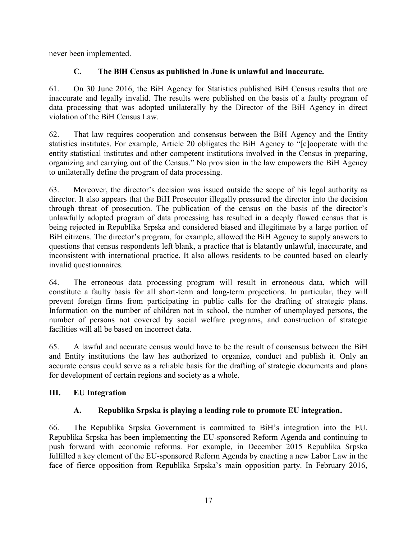never been implemented.

# **C. The BiH Census as published in June is unlawful and inaccurate.**

<span id="page-21-0"></span>61. On 30 June 2016, the BiH Agency for Statistics published BiH Census results that are inaccurate and legally invalid. The results were published on the basis of a faulty program of data processing that was adopted unilaterally by the Director of the BiH Agency in direct violation of the BiH Census Law.

62. That law requires cooperation and con**s**ensus between the BiH Agency and the Entity statistics institutes. For example, Article 20 obligates the BiH Agency to "[c]ooperate with the entity statistical institutes and other competent institutions involved in the Census in preparing, organizing and carrying out of the Census." No provision in the law empowers the BiH Agency to unilaterally define the program of data processing.

63. Moreover, the director's decision was issued outside the scope of his legal authority as director. It also appears that the BiH Prosecutor illegally pressured the director into the decision through threat of prosecution. The publication of the census on the basis of the director's unlawfully adopted program of data processing has resulted in a deeply flawed census that is being rejected in Republika Srpska and considered biased and illegitimate by a large portion of BiH citizens. The director's program, for example, allowed the BiH Agency to supply answers to questions that census respondents left blank, a practice that is blatantly unlawful, inaccurate, and inconsistent with international practice. It also allows residents to be counted based on clearly invalid questionnaires.

64. The erroneous data processing program will result in erroneous data, which will constitute a faulty basis for all short-term and long-term projections. In particular, they will prevent foreign firms from participating in public calls for the drafting of strategic plans. Information on the number of children not in school, the number of unemployed persons, the number of persons not covered by social welfare programs, and construction of strategic facilities will all be based on incorrect data.

65. A lawful and accurate census would have to be the result of consensus between the BiH and Entity institutions the law has authorized to organize, conduct and publish it. Only an accurate census could serve as a reliable basis for the drafting of strategic documents and plans for development of certain regions and society as a whole.

# <span id="page-21-1"></span>**III. EU Integration**

# **A. Republika Srpska is playing a leading role to promote EU integration.**

<span id="page-21-2"></span>66. The Republika Srpska Government is committed to BiH's integration into the EU. Republika Srpska has been implementing the EU-sponsored Reform Agenda and continuing to push forward with economic reforms. For example, in December 2015 Republika Srpska fulfilled a key element of the EU-sponsored Reform Agenda by enacting a new Labor Law in the face of fierce opposition from Republika Srpska's main opposition party. In February 2016,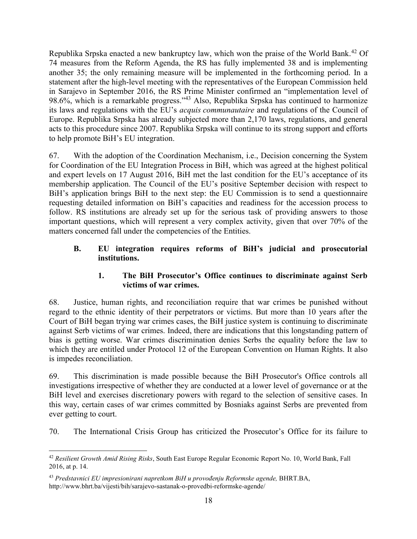Republika Srpska enacted a new bankruptcy law, which won the praise of the World Bank.<sup>42</sup> Of 74 measures from the Reform Agenda, the RS has fully implemented 38 and is implementing another 35; the only remaining measure will be implemented in the forthcoming period. In a statement after the high-level meeting with the representatives of the European Commission held in Sarajevo in September 2016, the RS Prime Minister confirmed an "implementation level of 98.6%, which is a remarkable progress."<sup>43</sup> Also, Republika Srpska has continued to harmonize its laws and regulations with the EU's *acquis communautaire* and regulations of the Council of Europe. Republika Srpska has already subjected more than 2,170 laws, regulations, and general acts to this procedure since 2007. Republika Srpska will continue to its strong support and efforts to help promote BiH's EU integration.

67. With the adoption of the Coordination Mechanism, i.e., Decision concerning the System for Coordination of the EU Integration Process in BiH, which was agreed at the highest political and expert levels on 17 August 2016, BiH met the last condition for the EU's acceptance of its membership application. The Council of the EU's positive September decision with respect to BiH's application brings BiH to the next step: the EU Commission is to send a questionnaire requesting detailed information on BiH's capacities and readiness for the accession process to follow. RS institutions are already set up for the serious task of providing answers to those important questions, which will represent a very complex activity, given that over 70% of the matters concerned fall under the competencies of the Entities.

# <span id="page-22-0"></span>**B. EU integration requires reforms of BiH's judicial and prosecutorial institutions.**

# **1. The BiH Prosecutor's Office continues to discriminate against Serb victims of war crimes.**

<span id="page-22-1"></span>68. Justice, human rights, and reconciliation require that war crimes be punished without regard to the ethnic identity of their perpetrators or victims. But more than 10 years after the Court of BiH began trying war crimes cases, the BiH justice system is continuing to discriminate against Serb victims of war crimes. Indeed, there are indications that this longstanding pattern of bias is getting worse. War crimes discrimination denies Serbs the equality before the law to which they are entitled under Protocol 12 of the European Convention on Human Rights. It also is impedes reconciliation.

69. This discrimination is made possible because the BiH Prosecutor's Office controls all investigations irrespective of whether they are conducted at a lower level of governance or at the BiH level and exercises discretionary powers with regard to the selection of sensitive cases. In this way, certain cases of war crimes committed by Bosniaks against Serbs are prevented from ever getting to court.

70. The International Crisis Group has criticized the Prosecutor's Office for its failure to

 $\overline{a}$ <sup>42</sup> *Resilient Growth Amid Rising Risks*, South East Europe Regular Economic Report No. 10, World Bank, Fall 2016, at p. 14.

<sup>43</sup> *Predstavnici EU impresionirani napretkom BiH u provođenju Reformske agende,* BHRT.BA, http://www.bhrt.ba/vijesti/bih/sarajevo-sastanak-o-provedbi-reformske-agende/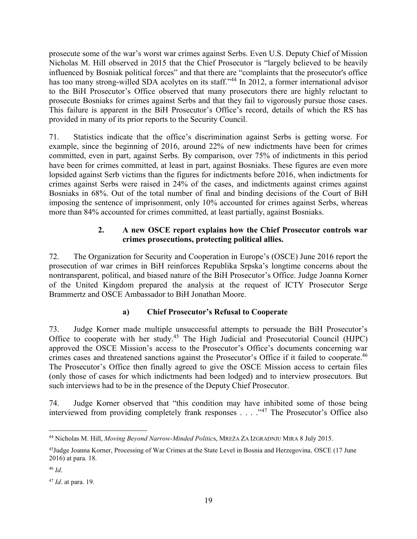prosecute some of the war's worst war crimes against Serbs. Even U.S. Deputy Chief of Mission Nicholas M. Hill observed in 2015 that the Chief Prosecutor is "largely believed to be heavily influenced by Bosniak political forces" and that there are "complaints that the prosecutor's office has too many strong-willed SDA acolytes on its staff."<sup>44</sup> In 2012, a former international advisor to the BiH Prosecutor's Office observed that many prosecutors there are highly reluctant to prosecute Bosniaks for crimes against Serbs and that they fail to vigorously pursue those cases. This failure is apparent in the BiH Prosecutor's Office's record, details of which the RS has provided in many of its prior reports to the Security Council.

71. Statistics indicate that the office's discrimination against Serbs is getting worse. For example, since the beginning of 2016, around 22% of new indictments have been for crimes committed, even in part, against Serbs. By comparison, over 75% of indictments in this period have been for crimes committed, at least in part, against Bosniaks. These figures are even more lopsided against Serb victims than the figures for indictments before 2016, when indictments for crimes against Serbs were raised in 24% of the cases, and indictments against crimes against Bosniaks in 68%. Out of the total number of final and binding decisions of the Court of BiH imposing the sentence of imprisonment, only 10% accounted for crimes against Serbs, whereas more than 84% accounted for crimes committed, at least partially, against Bosniaks.

# **2. A new OSCE report explains how the Chief Prosecutor controls war crimes prosecutions, protecting political allies.**

<span id="page-23-0"></span>72. The Organization for Security and Cooperation in Europe's (OSCE) June 2016 report the prosecution of war crimes in BiH reinforces Republika Srpska's longtime concerns about the nontransparent, political, and biased nature of the BiH Prosecutor's Office. Judge Joanna Korner of the United Kingdom prepared the analysis at the request of ICTY Prosecutor Serge Brammertz and OSCE Ambassador to BiH Jonathan Moore.

# **a) Chief Prosecutor's Refusal to Cooperate**

73. Judge Korner made multiple unsuccessful attempts to persuade the BiH Prosecutor's Office to cooperate with her study.<sup>45</sup> The High Judicial and Prosecutorial Council (HJPC) approved the OSCE Mission's access to the Prosecutor's Office's documents concerning war crimes cases and threatened sanctions against the Prosecutor's Office if it failed to cooperate.<sup>46</sup> The Prosecutor's Office then finally agreed to give the OSCE Mission access to certain files (only those of cases for which indictments had been lodged) and to interview prosecutors. But such interviews had to be in the presence of the Deputy Chief Prosecutor.

74. Judge Korner observed that "this condition may have inhibited some of those being interviewed from providing completely frank responses . . . . "47 The Prosecutor's Office also

 $\overline{a}$ <sup>44</sup> Nicholas M. Hill, *Moving Beyond Narrow-Minded Politic*s, MREŽA ZA IZGRADNJU MIRA 8 July 2015.

<sup>45</sup>Judge Joanna Korner, Processing of War Crimes at the State Level in Bosnia and Herzegovina*,* OSCE (17 June 2016) at para. 18.

<sup>46</sup> *Id*.

<sup>47</sup> *Id*. at para. 19.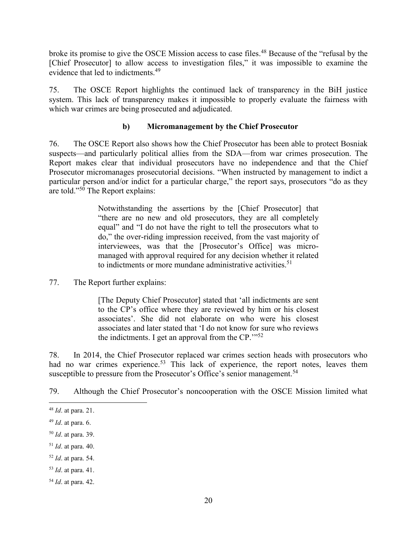broke its promise to give the OSCE Mission access to case files. <sup>48</sup> Because of the "refusal by the [Chief Prosecutor] to allow access to investigation files," it was impossible to examine the evidence that led to indictments.<sup>49</sup>

75. The OSCE Report highlights the continued lack of transparency in the BiH justice system. This lack of transparency makes it impossible to properly evaluate the fairness with which war crimes are being prosecuted and adjudicated.

### **b) Micromanagement by the Chief Prosecutor**

76. The OSCE Report also shows how the Chief Prosecutor has been able to protect Bosniak suspects—and particularly political allies from the SDA—from war crimes prosecution. The Report makes clear that individual prosecutors have no independence and that the Chief Prosecutor micromanages prosecutorial decisions. "When instructed by management to indict a particular person and/or indict for a particular charge," the report says, prosecutors "do as they are told."<sup>50</sup> The Report explains:

> Notwithstanding the assertions by the [Chief Prosecutor] that "there are no new and old prosecutors, they are all completely equal" and "I do not have the right to tell the prosecutors what to do," the over-riding impression received, from the vast majority of interviewees, was that the [Prosecutor's Office] was micromanaged with approval required for any decision whether it related to indictments or more mundane administrative activities.<sup>51</sup>

77. The Report further explains:

[The Deputy Chief Prosecutor] stated that 'all indictments are sent to the CP's office where they are reviewed by him or his closest associates'. She did not elaborate on who were his closest associates and later stated that 'I do not know for sure who reviews the indictments. I get an approval from the  $CP$ .<sup> $1.52$ </sup>

78. In 2014, the Chief Prosecutor replaced war crimes section heads with prosecutors who had no war crimes experience.<sup>53</sup> This lack of experience, the report notes, leaves them susceptible to pressure from the Prosecutor's Office's senior management.<sup>54</sup>

79. Although the Chief Prosecutor's noncooperation with the OSCE Mission limited what

 $\overline{a}$ 

<sup>48</sup> *Id*. at para. 21.

<sup>49</sup> *Id*. at para. 6.

<sup>50</sup> *Id*. at para. 39.

<sup>51</sup> *Id*. at para. 40.

<sup>52</sup> *Id*. at para. 54.

<sup>53</sup> *Id*. at para. 41.

<sup>54</sup> *Id*. at para. 42.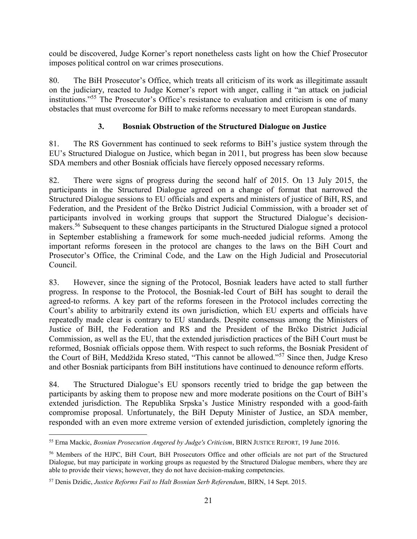could be discovered, Judge Korner's report nonetheless casts light on how the Chief Prosecutor imposes political control on war crimes prosecutions.

80. The BiH Prosecutor's Office, which treats all criticism of its work as illegitimate assault on the judiciary, reacted to Judge Korner's report with anger, calling it "an attack on judicial institutions."<sup>55</sup> The Prosecutor's Office's resistance to evaluation and criticism is one of many obstacles that must overcome for BiH to make reforms necessary to meet European standards.

# **3. Bosniak Obstruction of the Structured Dialogue on Justice**

<span id="page-25-0"></span>81. The RS Government has continued to seek reforms to BiH's justice system through the EU's Structured Dialogue on Justice, which began in 2011, but progress has been slow because SDA members and other Bosniak officials have fiercely opposed necessary reforms.

82. There were signs of progress during the second half of 2015. On 13 July 2015, the participants in the Structured Dialogue agreed on a change of format that narrowed the Structured Dialogue sessions to EU officials and experts and ministers of justice of BiH, RS, and Federation, and the President of the Brčko District Judicial Commission, with a broader set of participants involved in working groups that support the Structured Dialogue's decisionmakers.<sup>56</sup> Subsequent to these changes participants in the Structured Dialogue signed a protocol in September establishing a framework for some much-needed judicial reforms. Among the important reforms foreseen in the protocol are changes to the laws on the BiH Court and Prosecutor's Office, the Criminal Code, and the Law on the High Judicial and Prosecutorial Council.

83. However, since the signing of the Protocol, Bosniak leaders have acted to stall further progress. In response to the Protocol, the Bosniak-led Court of BiH has sought to derail the agreed-to reforms. A key part of the reforms foreseen in the Protocol includes correcting the Court's ability to arbitrarily extend its own jurisdiction, which EU experts and officials have repeatedly made clear is contrary to EU standards. Despite consensus among the Ministers of Justice of BiH, the Federation and RS and the President of the Brčko District Judicial Commission, as well as the EU, that the extended jurisdiction practices of the BiH Court must be reformed, Bosniak officials oppose them. With respect to such reforms, the Bosniak President of the Court of BiH, Meddžida Kreso stated, "This cannot be allowed."<sup>57</sup> Since then, Judge Kreso and other Bosniak participants from BiH institutions have continued to denounce reform efforts.

84. The Structured Dialogue's EU sponsors recently tried to bridge the gap between the participants by asking them to propose new and more moderate positions on the Court of BiH's extended jurisdiction. The Republika Srpska's Justice Ministry responded with a good-faith compromise proposal. Unfortunately, the BiH Deputy Minister of Justice, an SDA member, responded with an even more extreme version of extended jurisdiction, completely ignoring the

 $\overline{a}$ <sup>55</sup> Erna Mackic, *Bosnian Prosecution Angered by Judge's Criticism*, BIRN JUSTICE REPORT, 19 June 2016.

<sup>56</sup> Members of the HJPC, BiH Court, BiH Prosecutors Office and other officials are not part of the Structured Dialogue, but may participate in working groups as requested by the Structured Dialogue members, where they are able to provide their views; however, they do not have decision-making competencies.

<sup>57</sup> Denis Dzidic, *Justice Reforms Fail to Halt Bosnian Serb Referendum*, BIRN, 14 Sept. 2015.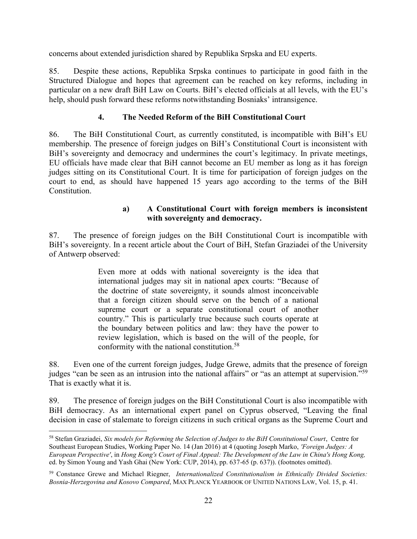concerns about extended jurisdiction shared by Republika Srpska and EU experts.

85. Despite these actions, Republika Srpska continues to participate in good faith in the Structured Dialogue and hopes that agreement can be reached on key reforms, including in particular on a new draft BiH Law on Courts. BiH's elected officials at all levels, with the EU's help, should push forward these reforms notwithstanding Bosniaks' intransigence.

### **4. The Needed Reform of the BiH Constitutional Court**

<span id="page-26-0"></span>86. The BiH Constitutional Court, as currently constituted, is incompatible with BiH's EU membership. The presence of foreign judges on BiH's Constitutional Court is inconsistent with BiH's sovereignty and democracy and undermines the court's legitimacy. In private meetings, EU officials have made clear that BiH cannot become an EU member as long as it has foreign judges sitting on its Constitutional Court. It is time for participation of foreign judges on the court to end, as should have happened 15 years ago according to the terms of the BiH **Constitution** 

### **a) A Constitutional Court with foreign members is inconsistent with sovereignty and democracy.**

87. The presence of foreign judges on the BiH Constitutional Court is incompatible with BiH's sovereignty. In a recent article about the Court of BiH, Stefan Graziadei of the University of Antwerp observed:

> Even more at odds with national sovereignty is the idea that international judges may sit in national apex courts: "Because of the doctrine of state sovereignty, it sounds almost inconceivable that a foreign citizen should serve on the bench of a national supreme court or a separate constitutional court of another country." This is particularly true because such courts operate at the boundary between politics and law: they have the power to review legislation, which is based on the will of the people, for conformity with the national constitution.<sup>58</sup>

88. Even one of the current foreign judges, Judge Grewe, admits that the presence of foreign judges "can be seen as an intrusion into the national affairs" or "as an attempt at supervision."<sup>59</sup> That is exactly what it is.

89. The presence of foreign judges on the BiH Constitutional Court is also incompatible with BiH democracy. As an international expert panel on Cyprus observed, "Leaving the final decision in case of stalemate to foreign citizens in such critical organs as the Supreme Court and

 $\overline{a}$ <sup>58</sup> Stefan Graziadei, *Six models for Reforming the Selection of Judges to the BiH Constitutional Court*, Centre for Southeast European Studies, Working Paper No. 14 (Jan 2016) at 4 (quoting Joseph Marko, *'Foreign Judges: A European Perspective'*, in *Hong Kong's Court of Final Appeal: The Development of the Law in China's Hong Kong,* ed. by Simon Young and Yash Ghai (New York: CUP, 2014), pp. 637-65 (p. 637)). (footnotes omitted).

<sup>59</sup> Constance Grewe and Michael Riegner, *Internationalized Constitutionalism in Ethnically Divided Societies: Bosnia-Herzegovina and Kosovo Compared*, MAX PLANCK YEARBOOK OF UNITED NATIONS LAW, Vol. 15, p. 41.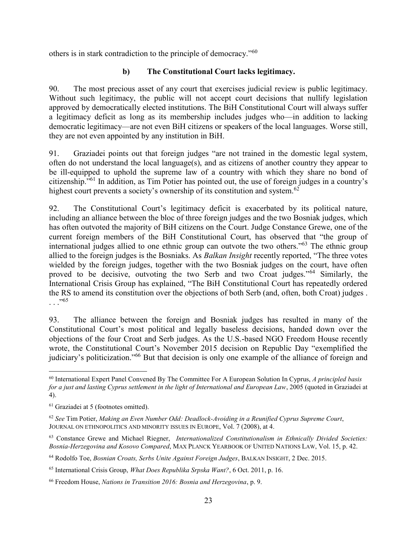others is in stark contradiction to the principle of democracy."<sup>60</sup>

# **b) The Constitutional Court lacks legitimacy.**

90. The most precious asset of any court that exercises judicial review is public legitimacy. Without such legitimacy, the public will not accept court decisions that nullify legislation approved by democratically elected institutions. The BiH Constitutional Court will always suffer a legitimacy deficit as long as its membership includes judges who—in addition to lacking democratic legitimacy—are not even BiH citizens or speakers of the local languages. Worse still, they are not even appointed by any institution in BiH.

91. Graziadei points out that foreign judges "are not trained in the domestic legal system, often do not understand the local language(s), and as citizens of another country they appear to be ill-equipped to uphold the supreme law of a country with which they share no bond of citizenship."<sup>61</sup> In addition, as Tim Potier has pointed out, the use of foreign judges in a country's highest court prevents a society's ownership of its constitution and system.<sup>62</sup>

92. The Constitutional Court's legitimacy deficit is exacerbated by its political nature, including an alliance between the bloc of three foreign judges and the two Bosniak judges, which has often outvoted the majority of BiH citizens on the Court. Judge Constance Grewe, one of the current foreign members of the BiH Constitutional Court, has observed that "the group of international judges allied to one ethnic group can outvote the two others."<sup>63</sup> The ethnic group allied to the foreign judges is the Bosniaks. As *Balkan Insight* recently reported, "The three votes wielded by the foreign judges, together with the two Bosniak judges on the court, have often proved to be decisive, outvoting the two Serb and two Croat judges."<sup>64</sup> Similarly, the International Crisis Group has explained, "The BiH Constitutional Court has repeatedly ordered the RS to amend its constitution over the objections of both Serb (and, often, both Croat) judges . . . ."<sup>65</sup>

93. The alliance between the foreign and Bosniak judges has resulted in many of the Constitutional Court's most political and legally baseless decisions, handed down over the objections of the four Croat and Serb judges. As the U.S.-based NGO Freedom House recently wrote, the Constitutional Court's November 2015 decision on Republic Day "exemplified the judiciary's politicization."<sup>66</sup> But that decision is only one example of the alliance of foreign and

 $\overline{a}$ 

<sup>60</sup> International Expert Panel Convened By The Committee For A European Solution In Cyprus, *A principled basis for a just and lasting Cyprus settlement in the light of International and European Law*, 2005 (quoted in Graziadei at 4).

<sup>61</sup> Graziadei at 5 (footnotes omitted).

<sup>62</sup> *See* Tim Potier, *Making an Even Number Odd: Deadlock-Avoiding in a Reunified Cyprus Supreme Court*, JOURNAL ON ETHNOPOLITICS AND MINORITY ISSUES IN EUROPE, Vol. 7 (2008), at 4.

<sup>63</sup> Constance Grewe and Michael Riegner, *Internationalized Constitutionalism in Ethnically Divided Societies: Bosnia-Herzegovina and Kosovo Compared*, MAX PLANCK YEARBOOK OF UNITED NATIONS LAW, Vol. 15, p. 42.

<sup>64</sup> Rodolfo Toe, *Bosnian Croats, Serbs Unite Against Foreign Judges*, BALKAN INSIGHT, 2 Dec. 2015.

<sup>65</sup> International Crisis Group, *What Does Republika Srpska Want?*, 6 Oct. 2011, p. 16.

<sup>66</sup> Freedom House, *Nations in Transition 2016: Bosnia and Herzegovina*, p. 9.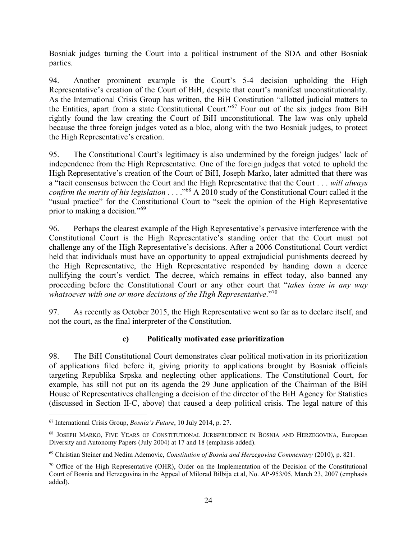Bosniak judges turning the Court into a political instrument of the SDA and other Bosniak parties.

94. Another prominent example is the Court's 5-4 decision upholding the High Representative's creation of the Court of BiH, despite that court's manifest unconstitutionality. As the International Crisis Group has written, the BiH Constitution "allotted judicial matters to the Entities, apart from a state Constitutional Court."<sup>67</sup> Four out of the six judges from BiH rightly found the law creating the Court of BiH unconstitutional. The law was only upheld because the three foreign judges voted as a bloc, along with the two Bosniak judges, to protect the High Representative's creation.

95. The Constitutional Court's legitimacy is also undermined by the foreign judges' lack of independence from the High Representative. One of the foreign judges that voted to uphold the High Representative's creation of the Court of BiH, Joseph Marko, later admitted that there was a "tacit consensus between the Court and the High Representative that the Court . . . *will always confirm the merits of his legislation* . . . ."<sup>68</sup> A 2010 study of the Constitutional Court called it the "usual practice" for the Constitutional Court to "seek the opinion of the High Representative prior to making a decision."<sup>69</sup>

96. Perhaps the clearest example of the High Representative's pervasive interference with the Constitutional Court is the High Representative's standing order that the Court must not challenge any of the High Representative's decisions. After a 2006 Constitutional Court verdict held that individuals must have an opportunity to appeal extrajudicial punishments decreed by the High Representative, the High Representative responded by handing down a decree nullifying the court's verdict. The decree, which remains in effect today, also banned any proceeding before the Constitutional Court or any other court that "*takes issue in any way whatsoever with one or more decisions of the High Representative*."<sup>70</sup>

97. As recently as October 2015, the High Representative went so far as to declare itself, and not the court, as the final interpreter of the Constitution.

# **c) Politically motivated case prioritization**

98. The BiH Constitutional Court demonstrates clear political motivation in its prioritization of applications filed before it, giving priority to applications brought by Bosniak officials targeting Republika Srpska and neglecting other applications. The Constitutional Court, for example, has still not put on its agenda the 29 June application of the Chairman of the BiH House of Representatives challenging a decision of the director of the BiH Agency for Statistics (discussed in Section II-C, above) that caused a deep political crisis. The legal nature of this

 $\overline{a}$ <sup>67</sup> International Crisis Group, *Bosnia's Future*, 10 July 2014, p. 27.

<sup>68</sup> JOSEPH MARKO, FIVE YEARS OF CONSTITUTIONAL JURISPRUDENCE IN BOSNIA AND HERZEGOVINA, European Diversity and Autonomy Papers (July 2004) at 17 and 18 (emphasis added).

<sup>69</sup> Christian Steiner and Nedim Ademovic, *Constitution of Bosnia and Herzegovina Commentary* (2010), p. 821.

<sup>70</sup> Office of the High Representative (OHR), Order on the Implementation of the Decision of the Constitutional Court of Bosnia and Herzegovina in the Appeal of Milorad Bilbija et al, No. AP-953/05, March 23, 2007 (emphasis added).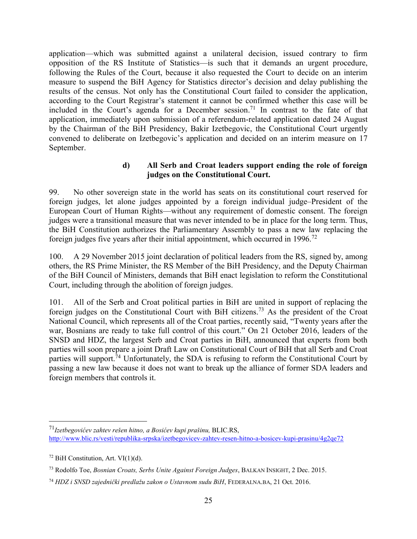application—which was submitted against a unilateral decision, issued contrary to firm opposition of the RS Institute of Statistics—is such that it demands an urgent procedure, following the Rules of the Court, because it also requested the Court to decide on an interim measure to suspend the BiH Agency for Statistics director's decision and delay publishing the results of the census. Not only has the Constitutional Court failed to consider the application, according to the Court Registrar's statement it cannot be confirmed whether this case will be included in the Court's agenda for a December session.<sup>71</sup> In contrast to the fate of that application, immediately upon submission of a referendum-related application dated 24 August by the Chairman of the BiH Presidency, Bakir Izetbegovic, the Constitutional Court urgently convened to deliberate on Izetbegovic's application and decided on an interim measure on 17 September.

### **d) All Serb and Croat leaders support ending the role of foreign judges on the Constitutional Court.**

99. No other sovereign state in the world has seats on its constitutional court reserved for foreign judges, let alone judges appointed by a foreign individual judge–President of the European Court of Human Rights—without any requirement of domestic consent. The foreign judges were a transitional measure that was never intended to be in place for the long term. Thus, the BiH Constitution authorizes the Parliamentary Assembly to pass a new law replacing the foreign judges five years after their initial appointment, which occurred in 1996.<sup>72</sup>

100. A 29 November 2015 joint declaration of political leaders from the RS, signed by, among others, the RS Prime Minister, the RS Member of the BiH Presidency, and the Deputy Chairman of the BiH Council of Ministers, demands that BiH enact legislation to reform the Constitutional Court, including through the abolition of foreign judges.

101. All of the Serb and Croat political parties in BiH are united in support of replacing the foreign judges on the Constitutional Court with BiH citizens.<sup>73</sup> As the president of the Croat National Council, which represents all of the Croat parties, recently said, "Twenty years after the war, Bosnians are ready to take full control of this court." On 21 October 2016, leaders of the SNSD and HDZ, the largest Serb and Croat parties in BiH, announced that experts from both parties will soon prepare a joint Draft Law on Constitutional Court of BiH that all Serb and Croat parties will support.<sup>74</sup> Unfortunately, the SDA is refusing to reform the Constitutional Court by passing a new law because it does not want to break up the alliance of former SDA leaders and foreign members that controls it.

 $\overline{a}$ 

<sup>71</sup>*Izetbegovićev zahtev rešen hitno, a Bosićev kupi prašinu,* BLIC.RS, <http://www.blic.rs/vesti/republika-srpska/izetbegovicev-zahtev-resen-hitno-a-bosicev-kupi-prasinu/4g2qe72>

 $72$  BiH Constitution, Art. VI $(1)(d)$ .

<sup>73</sup> Rodolfo Toe, *Bosnian Croats, Serbs Unite Against Foreign Judges*, BALKAN INSIGHT, 2 Dec. 2015.

<sup>74</sup> *HDZ i SNSD zajednički predlažu zakon o Ustavnom sudu BiH*, FEDERALNA.BA, 21 Oct. 2016.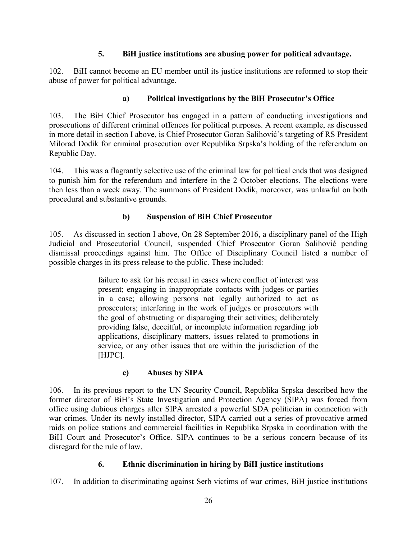### **5. BiH justice institutions are abusing power for political advantage.**

<span id="page-30-0"></span>102. BiH cannot become an EU member until its justice institutions are reformed to stop their abuse of power for political advantage.

# **a) Political investigations by the BiH Prosecutor's Office**

103. The BiH Chief Prosecutor has engaged in a pattern of conducting investigations and prosecutions of different criminal offences for political purposes. A recent example, as discussed in more detail in section I above, is Chief Prosecutor Goran Salihović's targeting of RS President Milorad Dodik for criminal prosecution over Republika Srpska's holding of the referendum on Republic Day.

104. This was a flagrantly selective use of the criminal law for political ends that was designed to punish him for the referendum and interfere in the 2 October elections. The elections were then less than a week away. The summons of President Dodik, moreover, was unlawful on both procedural and substantive grounds.

# **b) Suspension of BiH Chief Prosecutor**

105. As discussed in section I above, On 28 September 2016, a disciplinary panel of the High Judicial and Prosecutorial Council, suspended Chief Prosecutor Goran Salihović pending dismissal proceedings against him. The Office of Disciplinary Council listed a number of possible charges in its press release to the public. These included:

> failure to ask for his recusal in cases where conflict of interest was present; engaging in inappropriate contacts with judges or parties in a case; allowing persons not legally authorized to act as prosecutors; interfering in the work of judges or prosecutors with the goal of obstructing or disparaging their activities; deliberately providing false, deceitful, or incomplete information regarding job applications, disciplinary matters, issues related to promotions in service, or any other issues that are within the jurisdiction of the [HJPC].

# **c) Abuses by SIPA**

106. In its previous report to the UN Security Council, Republika Srpska described how the former director of BiH's State Investigation and Protection Agency (SIPA) was forced from office using dubious charges after SIPA arrested a powerful SDA politician in connection with war crimes. Under its newly installed director, SIPA carried out a series of provocative armed raids on police stations and commercial facilities in Republika Srpska in coordination with the BiH Court and Prosecutor's Office. SIPA continues to be a serious concern because of its disregard for the rule of law.

# **6. Ethnic discrimination in hiring by BiH justice institutions**

<span id="page-30-1"></span>107. In addition to discriminating against Serb victims of war crimes, BiH justice institutions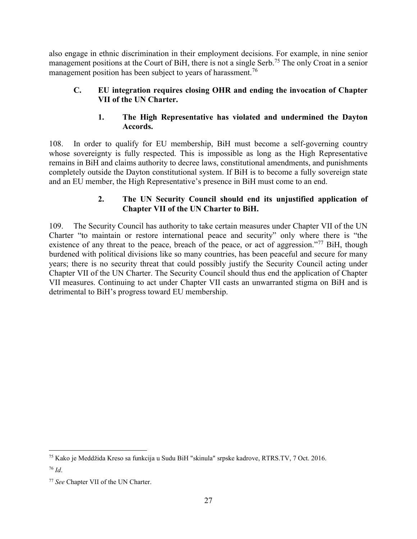also engage in ethnic discrimination in their employment decisions. For example, in nine senior management positions at the Court of BiH, there is not a single Serb.<sup>75</sup> The only Croat in a senior management position has been subject to years of harassment.<sup>76</sup>

### <span id="page-31-0"></span>**C. EU integration requires closing OHR and ending the invocation of Chapter VII of the UN Charter.**

### **1. The High Representative has violated and undermined the Dayton Accords.**

<span id="page-31-1"></span>108. In order to qualify for EU membership, BiH must become a self-governing country whose sovereignty is fully respected. This is impossible as long as the High Representative remains in BiH and claims authority to decree laws, constitutional amendments, and punishments completely outside the Dayton constitutional system. If BiH is to become a fully sovereign state and an EU member, the High Representative's presence in BiH must come to an end.

### **2. The UN Security Council should end its unjustified application of Chapter VII of the UN Charter to BiH.**

<span id="page-31-2"></span>109. The Security Council has authority to take certain measures under Chapter VII of the UN Charter "to maintain or restore international peace and security" only where there is "the existence of any threat to the peace, breach of the peace, or act of aggression."<sup>77</sup> BiH, though burdened with political divisions like so many countries, has been peaceful and secure for many years; there is no security threat that could possibly justify the Security Council acting under Chapter VII of the UN Charter. The Security Council should thus end the application of Chapter VII measures. Continuing to act under Chapter VII casts an unwarranted stigma on BiH and is detrimental to BiH's progress toward EU membership.

 $\overline{a}$ <sup>75</sup> Kako je Meddžida Kreso sa funkcija u Sudu BiH "skinula" srpske kadrove, RTRS.TV, 7 Oct. 2016. <sup>76</sup> *Id*.

<sup>77</sup> *See* Chapter VII of the UN Charter.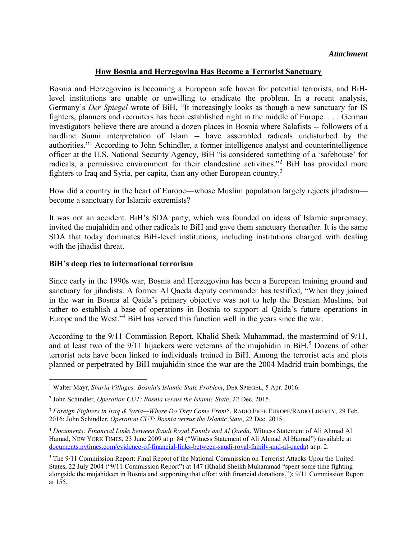#### **How Bosnia and Herzegovina Has Become a Terrorist Sanctuary**

Bosnia and Herzegovina is becoming a European safe haven for potential terrorists, and BiHlevel institutions are unable or unwilling to eradicate the problem. In a recent analysis, Germany's *Der Spiegel* wrote of BiH, "It increasingly looks as though a new sanctuary for IS fighters, planners and recruiters has been established right in the middle of Europe. . . . German investigators believe there are around a dozen places in Bosnia where Salafists -- followers of a hardline Sunni interpretation of Islam -- have assembled radicals undisturbed by the authorities.**"** 1 According to John Schindler, a former intelligence analyst and counterintelligence officer at the U.S. National Security Agency, BiH "is considered something of a 'safehouse' for radicals, a permissive environment for their clandestine activities."<sup>2</sup> BiH has provided more fighters to Iraq and Syria, per capita, than any other European country.<sup>3</sup>

How did a country in the heart of Europe—whose Muslim population largely rejects jihadism become a sanctuary for Islamic extremists?

It was not an accident. BiH's SDA party, which was founded on ideas of Islamic supremacy, invited the mujahidin and other radicals to BiH and gave them sanctuary thereafter. It is the same SDA that today dominates BiH-level institutions, including institutions charged with dealing with the jihadist threat.

#### **BiH's deep ties to international terrorism**

Since early in the 1990s war, Bosnia and Herzegovina has been a European training ground and sanctuary for jihadists. A former Al Qaeda deputy commander has testified, "When they joined in the war in Bosnia al Qaida's primary objective was not to help the Bosnian Muslims, but rather to establish a base of operations in Bosnia to support al Qaida's future operations in Europe and the West."<sup>4</sup> BiH has served this function well in the years since the war.

According to the 9/11 Commission Report, Khalid Sheik Muhammad, the mastermind of 9/11, and at least two of the  $9/11$  hijackers were veterans of the mujahidin in BiH.<sup>5</sup> Dozens of other terrorist acts have been linked to individuals trained in BiH. Among the terrorist acts and plots planned or perpetrated by BiH mujahidin since the war are the 2004 Madrid train bombings, the

 $\overline{a}$ <sup>1</sup> Walter Mayr, Sharia Villages: Bosnia's Islamic State Problem, DER SPIEGEL, 5 Apr. 2016.

<sup>2</sup> John Schindler, *Operation CUT: Bosnia versus the Islamic State*, 22 Dec. 2015.

<sup>3</sup> *Foreign Fighters in Iraq & Syria—Where Do They Come From?*, RADIO FREE EUROPE/RADIO LIBERTY, 29 Feb. 2016; John Schindler, *Operation CUT: Bosnia versus the Islamic State*, 22 Dec. 2015.

<sup>4</sup> *Documents: Financial Links between Saudi Royal Family and Al Qaeda*, Witness Statement of Ali Ahmad Al Hamad, NEW YORK TIMES, 23 June 2009 at p. 84 ("Witness Statement of Ali Ahmad Al Hamad") (available at [documents.nytimes.com/evidence-of-financial-links-between-saudi-royal-family-and-al-qaeda\)](http://documents.nytimes.com/evidence-of-financial-links-between-saudi-royal-family-and-al-qaeda) at p. 2.

<sup>&</sup>lt;sup>5</sup> The 9/11 Commission Report: Final Report of the National Commission on Terrorist Attacks Upon the United States, 22 July 2004 ("9/11 Commission Report") at 147 (Khalid Sheikh Muhammad "spent some time fighting alongside the mujahideen in Bosnia and supporting that effort with financial donations."); 9/11 Commission Report at 155.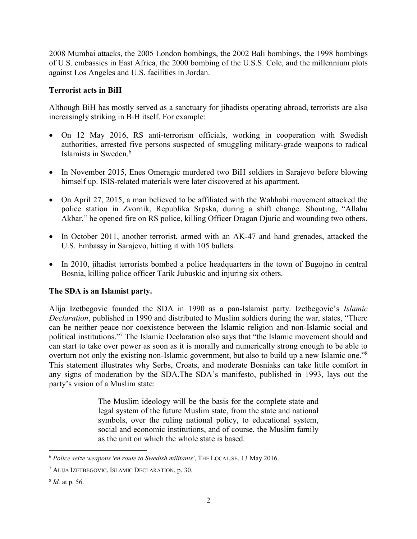2008 Mumbai attacks, the 2005 London bombings, the 2002 Bali bombings, the 1998 bombings of U.S. embassies in East Africa, the 2000 bombing of the U.S.S. Cole, and the millennium plots against Los Angeles and U.S. facilities in Jordan.

### **Terrorist acts in BiH**

Although BiH has mostly served as a sanctuary for jihadists operating abroad, terrorists are also increasingly striking in BiH itself. For example:

- On 12 May 2016, RS anti-terrorism officials, working in cooperation with Swedish authorities, arrested five persons suspected of smuggling military-grade weapons to radical Islamists in Sweden.<sup>6</sup>
- In November 2015, Enes Omeragic murdered two BiH soldiers in Sarajevo before blowing himself up. ISIS-related materials were later discovered at his apartment.
- On April 27, 2015, a man believed to be affiliated with the Wahhabi movement attacked the police station in Zvornik, Republika Srpska, during a shift change. Shouting, "Allahu Akbar," he opened fire on RS police, killing Officer Dragan Djuric and wounding two others.
- In October 2011, another terrorist, armed with an AK-47 and hand grenades, attacked the U.S. Embassy in Sarajevo, hitting it with 105 bullets.
- In 2010, jihadist terrorists bombed a police headquarters in the town of Bugojno in central Bosnia, killing police officer Tarik Jubuskic and injuring six others.

### **The SDA is an Islamist party.**

Alija Izetbegovic founded the SDA in 1990 as a pan-Islamist party. Izetbegovic's *Islamic Declaration*, published in 1990 and distributed to Muslim soldiers during the war, states, "There can be neither peace nor coexistence between the Islamic religion and non-Islamic social and political institutions."<sup>7</sup> The Islamic Declaration also says that "the Islamic movement should and can start to take over power as soon as it is morally and numerically strong enough to be able to overturn not only the existing non-Islamic government, but also to build up a new Islamic one."<sup>8</sup> This statement illustrates why Serbs, Croats, and moderate Bosniaks can take little comfort in any signs of moderation by the SDA.The SDA's manifesto, published in 1993, lays out the party's vision of a Muslim state:

> The Muslim ideology will be the basis for the complete state and legal system of the future Muslim state, from the state and national symbols, over the ruling national policy, to educational system, social and economic institutions, and of course, the Muslim family as the unit on which the whole state is based.

 $\overline{a}$ <sup>6</sup> *Police seize weapons 'en route to Swedish militants'*, THE LOCAL.SE, 13 May 2016.

<sup>7</sup> ALIJA IZETBEGOVIC, ISLAMIC DECLARATION, p. 30.

<sup>8</sup> *Id.* at p. 56.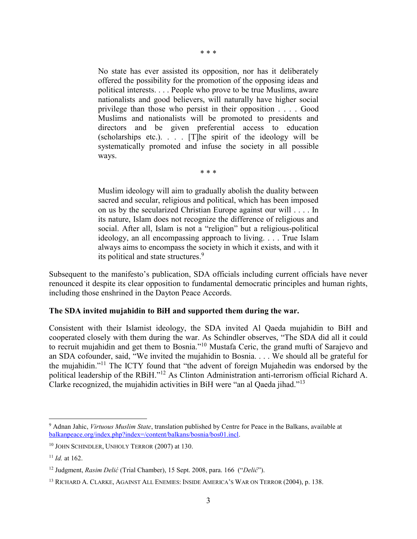No state has ever assisted its opposition, nor has it deliberately offered the possibility for the promotion of the opposing ideas and political interests. . . . People who prove to be true Muslims, aware nationalists and good believers, will naturally have higher social privilege than those who persist in their opposition . . . . Good Muslims and nationalists will be promoted to presidents and directors and be given preferential access to education (scholarships etc.). . . . [T]he spirit of the ideology will be systematically promoted and infuse the society in all possible ways.

\* \* \*

\* \* \*

Muslim ideology will aim to gradually abolish the duality between sacred and secular, religious and political, which has been imposed on us by the secularized Christian Europe against our will . . . . In its nature, Islam does not recognize the difference of religious and social. After all, Islam is not a "religion" but a religious-political ideology, an all encompassing approach to living. . . . True Islam always aims to encompass the society in which it exists, and with it its political and state structures.<sup>9</sup>

Subsequent to the manifesto's publication, SDA officials including current officials have never renounced it despite its clear opposition to fundamental democratic principles and human rights, including those enshrined in the Dayton Peace Accords.

#### **The SDA invited mujahidin to BiH and supported them during the war.**

Consistent with their Islamist ideology, the SDA invited Al Qaeda mujahidin to BiH and cooperated closely with them during the war. As Schindler observes, "The SDA did all it could to recruit mujahidin and get them to Bosnia."<sup>10</sup> Mustafa Ceric, the grand mufti of Sarajevo and an SDA cofounder, said, "We invited the mujahidin to Bosnia. . . . We should all be grateful for the mujahidin."<sup>11</sup> The ICTY found that "the advent of foreign Mujahedin was endorsed by the political leadership of the RBiH."<sup>12</sup> As Clinton Administration anti-terrorism official Richard A. Clarke recognized, the mujahidin activities in BiH were "an al Qaeda jihad."<sup>13</sup>

 $\overline{a}$ 9 Adnan Jahic, *Virtuous Muslim State*, translation published by Centre for Peace in the Balkans, available at [balkanpeace.org/index.php?index=/content/balkans/bosnia/bos01.incl.](http://www.balkanpeace.org/index.php?index=/content/balkans/bosnia/bos01.incl)

<sup>10</sup> JOHN SCHINDLER, UNHOLY TERROR (2007) at 130.

<sup>11</sup> *Id.* at 162.

<sup>12</sup> Judgment, *Rasim Delić* (Trial Chamber), 15 Sept. 2008, para. 166 ("*Delić*").

<sup>13</sup> RICHARD A. CLARKE, AGAINST ALL ENEMIES: INSIDE AMERICA'S WAR ON TERROR (2004), p. 138.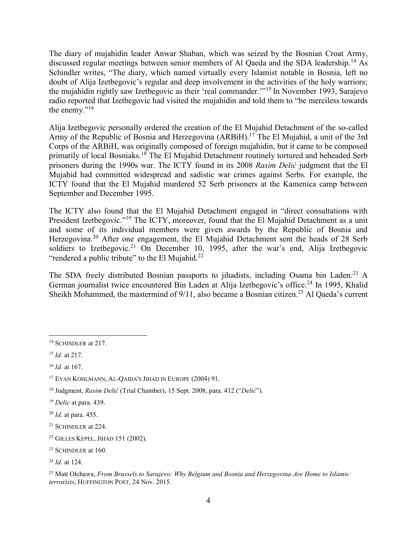The diary of mujahidin leader Anwar Shaban, which was seized by the Bosnian Croat Army, discussed regular meetings between senior members of Al Qaeda and the SDA leadership.<sup>14</sup> As Schindler writes, "The diary, which named virtually every Islamist notable in Bosnia, left no doubt of Alija Izetbegovic's regular and deep involvement in the activities of the holy warriors; the mujahidin rightly saw Izetbegovic as their 'real commander.'"<sup>15</sup> In November 1993, Sarajevo radio reported that Izetbegovic had visited the mujahidin and told them to "be merciless towards the enemy." $16$ 

Alija Izetbegovic personally ordered the creation of the El Mujahid Detachment of the so-called Army of the Republic of Bosnia and Herzegovina (ARBiH).<sup>17</sup> The El Mujahid, a unit of the 3rd Corps of the ARBiH, was originally composed of foreign mujahidin, but it came to be composed primarily of local Bosniaks.<sup>18</sup> The El Mujahid Detachment routinely tortured and beheaded Serb prisoners during the 1990s war. The ICTY found in its 2008 *Rasim Delić* judgment that the El Mujahid had committed widespread and sadistic war crimes against Serbs. For example, the ICTY found that the El Mujahid murdered 52 Serb prisoners at the Kamenica camp between September and December 1995.

The ICTY also found that the El Mujahid Detachment engaged in "direct consultations with President Izetbegovic."<sup>19</sup> The ICTY, moreover, found that the El Mujahid Detachment as a unit and some of its individual members were given awards by the Republic of Bosnia and Herzegovina.<sup>20</sup> After one engagement, the El Mujahid Detachment sent the heads of 28 Serb soldiers to Izetbegovic.<sup>21</sup> On December 10, 1995, after the war's end, Alija Izetbegovic "rendered a public tribute" to the El Mujahid. $^{22}$ 

The SDA freely distributed Bosnian passports to jihadists, including Osama bin Laden.<sup>23</sup> A German journalist twice encountered Bin Laden at Alija Izetbegovic's office.<sup>24</sup> In 1995, Khalid Sheikh Mohammed, the mastermind of  $9/11$ , also became a Bosnian citizen.<sup>25</sup> Al Qaeda's current

 $\overline{a}$ <sup>14</sup> SCHINDLER at 217.

<sup>15</sup> *Id.* at 217.

<sup>16</sup> *Id.* at 167.

<sup>17</sup> EVAN KOHLMANN, AL-QAIDA'S JIHAD IN EUROPE (2004) 91.

<sup>18</sup> Judgment, *Rasim Delić* (Trial Chamber), 15 Sept. 2008, para. 412 ("*Delić*").

<sup>19</sup> *Delic* at para. 439.

<sup>20</sup> *Id.* at para. 455.

<sup>21</sup> SCHINDLER at 224.

<sup>22</sup> GILLES KEPEL, JIHAD 151 (2002).

<sup>&</sup>lt;sup>23</sup> SCHINDLER at 160.

<sup>24</sup> *Id.* at 124.

<sup>25</sup> Matt Olchawa, *From Brussels to Sarajevo: Why Belgium and Bosnia and Herzegovina Are Home to Islamic terrorists*, HUFFINGTON POST, 24 Nov. 2015.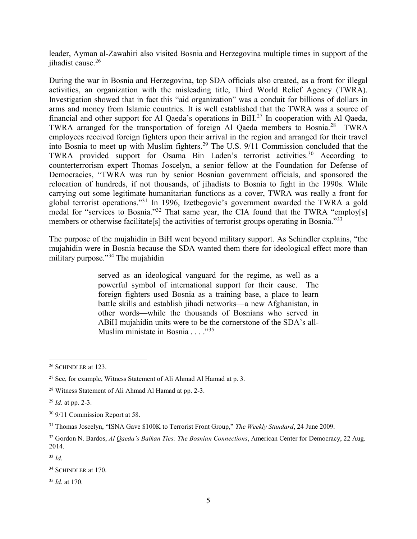leader, Ayman al-Zawahiri also visited Bosnia and Herzegovina multiple times in support of the jihadist cause.<sup>26</sup>

During the war in Bosnia and Herzegovina, top SDA officials also created, as a front for illegal activities, an organization with the misleading title, Third World Relief Agency (TWRA). Investigation showed that in fact this "aid organization" was a conduit for billions of dollars in arms and money from Islamic countries. It is well established that the TWRA was a source of financial and other support for Al Qaeda's operations in BiH.<sup>27</sup> In cooperation with Al Qaeda, TWRA arranged for the transportation of foreign Al Qaeda members to Bosnia.<sup>28</sup> TWRA employees received foreign fighters upon their arrival in the region and arranged for their travel into Bosnia to meet up with Muslim fighters.<sup>29</sup> The U.S. 9/11 Commission concluded that the TWRA provided support for Osama Bin Laden's terrorist activities.<sup>30</sup> According to counterterrorism expert Thomas Joscelyn, a senior fellow at the Foundation for Defense of Democracies, "TWRA was run by senior Bosnian government officials, and sponsored the relocation of hundreds, if not thousands, of jihadists to Bosnia to fight in the 1990s. While carrying out some legitimate humanitarian functions as a cover, TWRA was really a front for global terrorist operations."<sup>31</sup> In 1996, Izetbegovic's government awarded the TWRA a gold medal for "services to Bosnia."<sup>32</sup> That same year, the CIA found that the TWRA "employ[s] members or otherwise facilitate[s] the activities of terrorist groups operating in Bosnia."<sup>33</sup>

The purpose of the mujahidin in BiH went beyond military support. As Schindler explains, "the mujahidin were in Bosnia because the SDA wanted them there for ideological effect more than military purpose."<sup>34</sup> The mujahidin

> served as an ideological vanguard for the regime, as well as a powerful symbol of international support for their cause. The foreign fighters used Bosnia as a training base, a place to learn battle skills and establish jihadi networks—a new Afghanistan, in other words—while the thousands of Bosnians who served in ABiH mujahidin units were to be the cornerstone of the SDA's all-Muslim ministate in Bosnia . . . . "<sup>35</sup>

<sup>35</sup> *Id.* at 170.

 $\overline{a}$ <sup>26</sup> SCHINDLER at 123.

<sup>&</sup>lt;sup>27</sup> See, for example, Witness Statement of Ali Ahmad Al Hamad at p. 3.

<sup>28</sup> Witness Statement of Ali Ahmad Al Hamad at pp. 2-3.

<sup>29</sup> *Id.* at pp. 2-3.

<sup>30</sup> 9/11 Commission Report at 58.

<sup>31</sup> Thomas Joscelyn, "ISNA Gave \$100K to Terrorist Front Group," *The Weekly Standard*, 24 June 2009.

<sup>32</sup> Gordon N. Bardos, *Al Qaeda's Balkan Ties: The Bosnian Connections*, American Center for Democracy, 22 Aug. 2014.

<sup>33</sup> *Id*.

<sup>&</sup>lt;sup>34</sup> SCHINDLER at 170.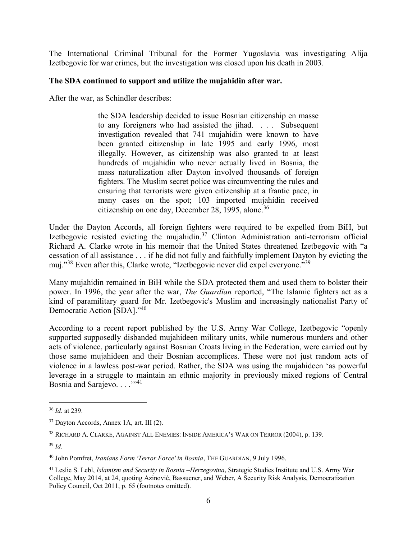The International Criminal Tribunal for the Former Yugoslavia was investigating Alija Izetbegovic for war crimes, but the investigation was closed upon his death in 2003.

### **The SDA continued to support and utilize the mujahidin after war.**

After the war, as Schindler describes:

the SDA leadership decided to issue Bosnian citizenship en masse to any foreigners who had assisted the jihad. . . . Subsequent investigation revealed that 741 mujahidin were known to have been granted citizenship in late 1995 and early 1996, most illegally. However, as citizenship was also granted to at least hundreds of mujahidin who never actually lived in Bosnia, the mass naturalization after Dayton involved thousands of foreign fighters. The Muslim secret police was circumventing the rules and ensuring that terrorists were given citizenship at a frantic pace, in many cases on the spot; 103 imported mujahidin received citizenship on one day, December 28, 1995, alone.<sup>36</sup>

Under the Dayton Accords, all foreign fighters were required to be expelled from BiH, but Izetbegovic resisted evicting the mujahidin.<sup>37</sup> Clinton Administration anti-terrorism official Richard A. Clarke wrote in his memoir that the United States threatened Izetbegovic with "a cessation of all assistance . . . if he did not fully and faithfully implement Dayton by evicting the muj."<sup>38</sup> Even after this, Clarke wrote, "Izetbegovic never did expel everyone."<sup>39</sup>

Many mujahidin remained in BiH while the SDA protected them and used them to bolster their power. In 1996, the year after the war, *The Guardian* reported, "The Islamic fighters act as a kind of paramilitary guard for Mr. Izetbegovic's Muslim and increasingly nationalist Party of Democratic Action [SDA]."<sup>40</sup>

According to a recent report published by the U.S. Army War College, Izetbegovic "openly supported supposedly disbanded mujahideen military units, while numerous murders and other acts of violence, particularly against Bosnian Croats living in the Federation, were carried out by those same mujahideen and their Bosnian accomplices. These were not just random acts of violence in a lawless post-war period. Rather, the SDA was using the mujahideen 'as powerful leverage in a struggle to maintain an ethnic majority in previously mixed regions of Central Bosnia and Sarajevo. . . . .<sup>''41</sup>

 $\overline{a}$ <sup>36</sup> *Id.* at 239.

<sup>37</sup> Dayton Accords, Annex 1A, art. III (2).

<sup>38</sup> RICHARD A. CLARKE, AGAINST ALL ENEMIES: INSIDE AMERICA'S WAR ON TERROR (2004), p. 139.

<sup>39</sup> *Id*.

<sup>40</sup> John Pomfret, *Iranians Form 'Terror Force' in Bosnia*, THE GUARDIAN, 9 July 1996.

<sup>41</sup> Leslie S. Lebl, *Islamism and Security in Bosnia –Herzegovina*, Strategic Studies Institute and U.S. Army War College, May 2014, at 24, quoting Azinović, Bassuener, and Weber, A Security Risk Analysis, Democratization Policy Council, Oct 2011, p. 65 (footnotes omitted).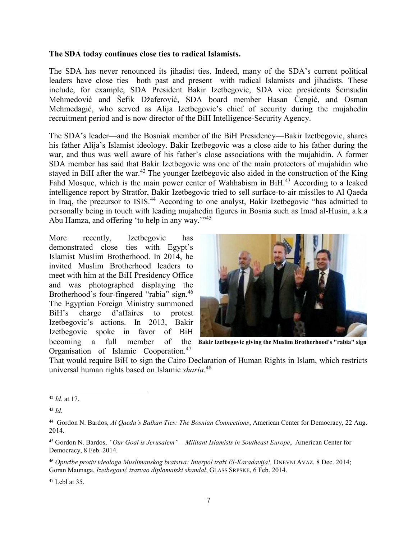#### **The SDA today continues close ties to radical Islamists.**

The SDA has never renounced its jihadist ties. Indeed, many of the SDA's current political leaders have close ties—both past and present—with radical Islamists and jihadists. These include, for example, SDA President Bakir Izetbegovic, SDA vice presidents Šemsudin Mehmedović and Šefik Džaferović, SDA board member Hasan Čengić, and Osman Mehmedagić, who served as Alija Izetbegovic's chief of security during the mujahedin recruitment period and is now director of the BiH Intelligence-Security Agency.

The SDA's leader—and the Bosniak member of the BiH Presidency—Bakir Izetbegovic, shares his father Alija's Islamist ideology. Bakir Izetbegovic was a close aide to his father during the war, and thus was well aware of his father's close associations with the mujahidin. A former SDA member has said that Bakir Izetbegovic was one of the main protectors of mujahidin who stayed in BiH after the war.<sup>42</sup> The younger Izetbegovic also aided in the construction of the King Fahd Mosque, which is the main power center of Wahhabism in BiH.<sup>43</sup> According to a leaked intelligence report by Stratfor, Bakir Izetbegovic tried to sell surface-to-air missiles to Al Qaeda in Iraq, the precursor to ISIS.<sup>44</sup> According to one analyst, Bakir Izetbegovic "has admitted to personally being in touch with leading mujahedin figures in Bosnia such as Imad al-Husin, a.k.a Abu Hamza, and offering 'to help in any way.'"<sup>45</sup>

More recently, Izetbegovic has demonstrated close ties with Egypt's Islamist Muslim Brotherhood. In 2014, he invited Muslim Brotherhood leaders to meet with him at the BiH Presidency Office and was photographed displaying the Brotherhood's four-fingered "rabia" sign.<sup>46</sup> The Egyptian Foreign Ministry summoned BiH's charge d'affaires to protest Izetbegovic's actions. In 2013, Bakir Izetbegovic spoke in favor of BiH becoming a full member Organisation of Islamic Cooperation.<sup>47</sup>



**Bakir Izetbegovic giving the Muslim Brotherhood's "rabia" sign**

That would require BiH to sign the Cairo Declaration of Human Rights in Islam, which restricts universal human rights based on Islamic *sharia.*<sup>48</sup>

 $\overline{a}$ 

 $47$  Lebl at 35.

<sup>42</sup> *Id.* at 17.

<sup>43</sup> *Id.*

<sup>44</sup> Gordon N. Bardos, *Al Qaeda's Balkan Ties: The Bosnian Connections*, American Center for Democracy, 22 Aug. 2014.

<sup>45</sup> Gordon N. Bardos, *"Our Goal is Jerusalem" – Militant Islamists in Southeast Europe*, American Center for Democracy, 8 Feb. 2014.

<sup>46</sup> *Optužbe protiv ideologa Muslimanskog bratstva: Interpol traži El-Karadavija!,* DNEVNI AVAZ, 8 Dec. 2014; Goran Maunaga, *Izetbegović izazvao diplomatski skandal*, GLASS SRPSKE, 6 Feb. 2014.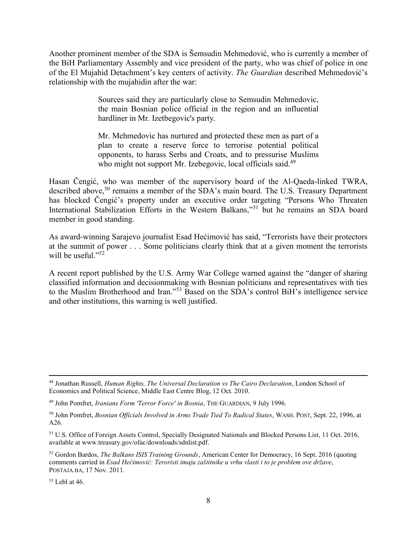Another prominent member of the SDA is Šemsudin Mehmedović, who is currently a member of the BiH Parliamentary Assembly and vice president of the party, who was chief of police in one of the El Mujahid Detachment's key centers of activity. *The Guardian* described Mehmedović's relationship with the mujahidin after the war:

> Sources said they are particularly close to Semsudin Mehmedovic, the main Bosnian police official in the region and an influential hardliner in Mr. Izetbegovic's party.

> Mr. Mehmedovic has nurtured and protected these men as part of a plan to create a reserve force to terrorise potential political opponents, to harass Serbs and Croats, and to pressurise Muslims who might not support Mr. Izebegovic, local officials said.<sup>49</sup>

Hasan Čengić, who was member of the supervisory board of the Al-Qaeda-linked TWRA, described above,<sup>50</sup> remains a member of the SDA's main board. The U.S. Treasury Department has blocked Čengić's property under an executive order targeting "Persons Who Threaten International Stabilization Efforts in the Western Balkans,"<sup>51</sup> but he remains an SDA board member in good standing.

As award-winning Sarajevo journalist Esad Hećimović has said, "Terrorists have their protectors at the summit of power . . . Some politicians clearly think that at a given moment the terrorists will be useful."<sup>52</sup>

A recent report published by the U.S. Army War College warned against the "danger of sharing classified information and decisionmaking with Bosnian politicians and representatives with ties to the Muslim Brotherhood and Iran."<sup>53</sup> Based on the SDA's control BiH's intelligence service and other institutions, this warning is well justified.

 $53$  Lebl at 46.

 $\overline{a}$ <sup>48</sup> Jonathan Russell, *Human Rights, The Universal Declaration vs The Cairo Declaration*, London School of Economics and Political Science, Middle East Centre Blog, 12 Oct. 2010.

<sup>49</sup> John Pomfret, *Iranians Form 'Terror Force' in Bosnia*, THE GUARDIAN, 9 July 1996.

<sup>50</sup> John Pomfret, *Bosnian Officials Involved in Arms Trade Tied To Radical States*, WASH. POST, Sept. 22, 1996, at A26.

<sup>51</sup> U.S. Office of Foreign Assets Control, Specially Designated Nationals and Blocked Persons List, 11 Oct. 2016, available at www.treasury.gov/ofac/downloads/sdnlist.pdf.

<sup>52</sup> Gordon Bardos, *The Balkans ISIS Training Grounds*, American Center for Democracy, 16 Sept. 2016 (quoting comments carried in *Esad Hećimović: Teroristi imaju zaštitnike u vrhu vlasti i to je problem ove države*, POSTAJA.BA, 17 Nov. 2011.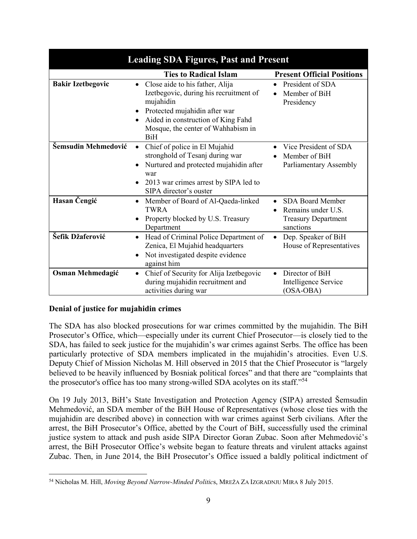| <b>Leading SDA Figures, Past and Present</b> |                                                                                                                                                                                                                   |                                                                                          |  |  |  |
|----------------------------------------------|-------------------------------------------------------------------------------------------------------------------------------------------------------------------------------------------------------------------|------------------------------------------------------------------------------------------|--|--|--|
|                                              | <b>Ties to Radical Islam</b>                                                                                                                                                                                      | <b>Present Official Positions</b>                                                        |  |  |  |
| <b>Bakir Izetbegovic</b>                     | Close aide to his father, Alija<br>Izetbegovic, during his recruitment of<br>mujahidin<br>Protected mujahidin after war<br>Aided in construction of King Fahd<br>Mosque, the center of Wahhabism in<br><b>BiH</b> | President of SDA<br>Member of BiH<br>Presidency                                          |  |  |  |
| Šemsudin Mehmedović                          | Chief of police in El Mujahid<br>$\bullet$<br>stronghold of Tesanj during war<br>Nurtured and protected mujahidin after<br>war<br>2013 war crimes arrest by SIPA led to<br>SIPA director's ouster                 | Vice President of SDA<br>Member of BiH<br>Parliamentary Assembly                         |  |  |  |
| Hasan Čengić                                 | Member of Board of Al-Qaeda-linked<br>٠<br>TWRA<br>Property blocked by U.S. Treasury<br>٠<br>Department                                                                                                           | <b>SDA Board Member</b><br>Remains under U.S.<br><b>Treasury Department</b><br>sanctions |  |  |  |
| Šefik Džaferović                             | Head of Criminal Police Department of<br>$\bullet$<br>Zenica, El Mujahid headquarters<br>Not investigated despite evidence<br>against him                                                                         | Dep. Speaker of BiH<br>House of Representatives                                          |  |  |  |
| <b>Osman Mehmedagić</b>                      | Chief of Security for Alija Izetbegovic<br>٠<br>during mujahidin recruitment and<br>activities during war                                                                                                         | Director of BiH<br>Intelligence Service<br>(OSA-OBA)                                     |  |  |  |

### **Denial of justice for mujahidin crimes**

The SDA has also blocked prosecutions for war crimes committed by the mujahidin. The BiH Prosecutor's Office, which—especially under its current Chief Prosecutor—is closely tied to the SDA, has failed to seek justice for the mujahidin's war crimes against Serbs. The office has been particularly protective of SDA members implicated in the mujahidin's atrocities. Even U.S. Deputy Chief of Mission Nicholas M. Hill observed in 2015 that the Chief Prosecutor is "largely believed to be heavily influenced by Bosniak political forces" and that there are "complaints that the prosecutor's office has too many strong-willed SDA acolytes on its staff."<sup>54</sup>

On 19 July 2013, BiH's State Investigation and Protection Agency (SIPA) arrested Šemsudin Mehmedović, an SDA member of the BiH House of Representatives (whose close ties with the mujahidin are described above) in connection with war crimes against Serb civilians. After the arrest, the BiH Prosecutor's Office, abetted by the Court of BiH, successfully used the criminal justice system to attack and push aside SIPA Director Goran Zubac. Soon after Mehmedović's arrest, the BiH Prosecutor Office's website began to feature threats and virulent attacks against Zubac. Then, in June 2014, the BiH Prosecutor's Office issued a baldly political indictment of

 $\overline{a}$ <sup>54</sup> Nicholas M. Hill, *Moving Beyond Narrow-Minded Politic*s, MREŽA ZA IZGRADNJU MIRA 8 July 2015.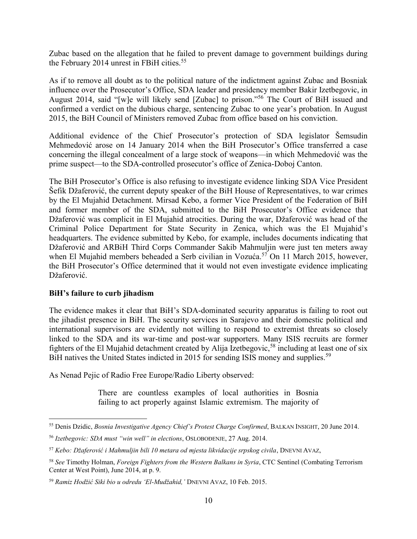Zubac based on the allegation that he failed to prevent damage to government buildings during the February 2014 unrest in FBiH cities.<sup>55</sup>

As if to remove all doubt as to the political nature of the indictment against Zubac and Bosniak influence over the Prosecutor's Office, SDA leader and presidency member Bakir Izetbegovic, in August 2014, said "[w]e will likely send [Zubac] to prison."<sup>56</sup> The Court of BiH issued and confirmed a verdict on the dubious charge, sentencing Zubac to one year's probation. In August 2015, the BiH Council of Ministers removed Zubac from office based on his conviction.

Additional evidence of the Chief Prosecutor's protection of SDA legislator Šemsudin Mehmedović arose on 14 January 2014 when the BiH Prosecutor's Office transferred a case concerning the illegal concealment of a large stock of weapons—in which Mehmedović was the prime suspect—to the SDA-controlled prosecutor's office of Zenica-Doboj Canton.

The BiH Prosecutor's Office is also refusing to investigate evidence linking SDA Vice President Šefik Džaferović, the current deputy speaker of the BiH House of Representatives, to war crimes by the El Mujahid Detachment. Mirsad Kebo, a former Vice President of the Federation of BiH and former member of the SDA, submitted to the BiH Prosecutor's Office evidence that Džaferović was complicit in El Mujahid atrocities. During the war, Džaferović was head of the Criminal Police Department for State Security in Zenica, which was the El Mujahid's headquarters. The evidence submitted by Kebo, for example, includes documents indicating that Džaferović and ARBiH Third Corps Commander Sakib Mahmuljin were just ten meters away when El Mujahid members beheaded a Serb civilian in Vozuća.<sup>57</sup> On 11 March 2015, however, the BiH Prosecutor's Office determined that it would not even investigate evidence implicating Džaferović.

### **BiH's failure to curb jihadism**

The evidence makes it clear that BiH's SDA-dominated security apparatus is failing to root out the jihadist presence in BiH. The security services in Sarajevo and their domestic political and international supervisors are evidently not willing to respond to extremist threats so closely linked to the SDA and its war-time and post-war supporters. Many ISIS recruits are former fighters of the El Mujahid detachment created by Alija Izetbegovic,<sup>58</sup> including at least one of six BiH natives the United States indicted in 2015 for sending ISIS money and supplies.<sup>59</sup>

As Nenad Pejic of Radio Free Europe/Radio Liberty observed:

There are countless examples of local authorities in Bosnia failing to act properly against Islamic extremism. The majority of

 $\overline{a}$ <sup>55</sup> Denis Dzidic, *Bosnia Investigative Agency Chief's Protest Charge Confirmed*, BALKAN INSIGHT, 20 June 2014.

<sup>56</sup> *Izetbegovic: SDA must "win well" in elections*, OSLOBOĐENJE, 27 Aug. 2014.

<sup>57</sup> *Kebo: Džaferović i Mahmuljin bili 10 metara od mjesta likvidacije srpskog civila*, DNEVNI AVAZ,

<sup>58</sup> *See* Timothy Holman, *Foreign Fighters from the Western Balkans in Syria*, CTC Sentinel (Combating Terrorism Center at West Point), June 2014, at p. 9.

<sup>59</sup> *Ramiz Hodžić Siki bio u odredu 'El-Mudžahid,'* DNEVNI AVAZ, 10 Feb. 2015.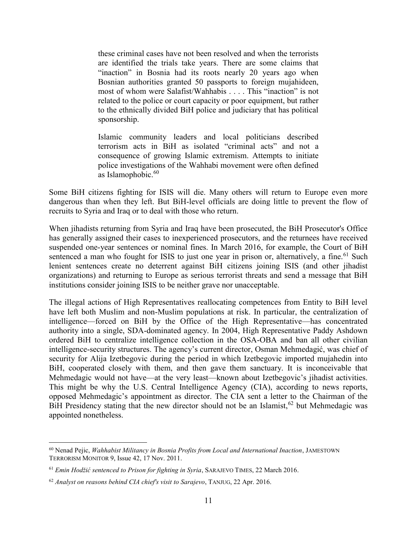these criminal cases have not been resolved and when the terrorists are identified the trials take years. There are some claims that "inaction" in Bosnia had its roots nearly 20 years ago when Bosnian authorities granted 50 passports to foreign mujahideen, most of whom were Salafist/Wahhabis . . . . This "inaction" is not related to the police or court capacity or poor equipment, but rather to the ethnically divided BiH police and judiciary that has political sponsorship.

Islamic community leaders and local politicians described terrorism acts in BiH as isolated "criminal acts" and not a consequence of growing Islamic extremism. Attempts to initiate police investigations of the Wahhabi movement were often defined as Islamophobic. $60$ 

Some BiH citizens fighting for ISIS will die. Many others will return to Europe even more dangerous than when they left. But BiH-level officials are doing little to prevent the flow of recruits to Syria and Iraq or to deal with those who return.

When jihadists returning from Syria and Iraq have been prosecuted, the BiH Prosecutor's Office has generally assigned their cases to inexperienced prosecutors, and the returnees have received suspended one-year sentences or nominal fines. In March 2016, for example, the Court of BiH sentenced a man who fought for ISIS to just one year in prison or, alternatively, a fine.<sup>61</sup> Such lenient sentences create no deterrent against BiH citizens joining ISIS (and other jihadist organizations) and returning to Europe as serious terrorist threats and send a message that BiH institutions consider joining ISIS to be neither grave nor unacceptable.

The illegal actions of High Representatives reallocating competences from Entity to BiH level have left both Muslim and non-Muslim populations at risk. In particular, the centralization of intelligence—forced on BiH by the Office of the High Representative—has concentrated authority into a single, SDA-dominated agency. In 2004, High Representative Paddy Ashdown ordered BiH to centralize intelligence collection in the OSA-OBA and ban all other civilian intelligence-security structures. The agency's current director, Osman Mehmedagić, was chief of security for Alija Izetbegovic during the period in which Izetbegovic imported mujahedin into BiH, cooperated closely with them, and then gave them sanctuary. It is inconceivable that Mehmedagic would not have—at the very least—known about Izetbegovic's jihadist activities. This might be why the U.S. Central Intelligence Agency (CIA), according to news reports, opposed Mehmedagic's appointment as director. The CIA sent a letter to the Chairman of the BiH Presidency stating that the new director should not be an Islamist,  $62$  but Mehmedagic was appointed nonetheless.

 $\overline{a}$ 

<sup>60</sup> Nenad Pejic, *Wahhabist Militancy in Bosnia Profits from Local and International Inaction*, JAMESTOWN TERRORISM MONITOR 9, Issue 42, 17 Nov. 2011.

<sup>61</sup> *Emin Hodžić sentenced to Prison for fighting in Syria*, SARAJEVO TIMES, 22 March 2016.

<sup>62</sup> *Analyst on reasons behind CIA chief's visit to Sarajevo*, TANJUG, 22 Apr. 2016.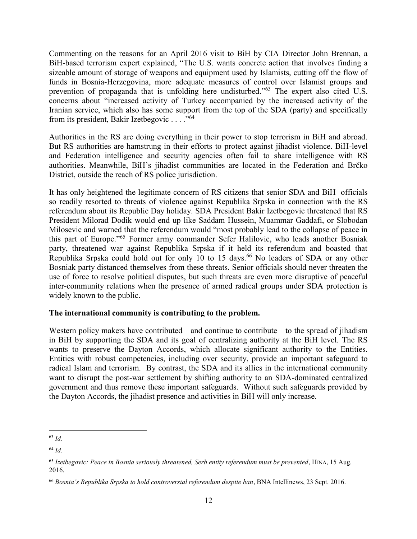Commenting on the reasons for an April 2016 visit to BiH by CIA Director John Brennan, a BiH-based terrorism expert explained, "The U.S. wants concrete action that involves finding a sizeable amount of storage of weapons and equipment used by Islamists, cutting off the flow of funds in Bosnia-Herzegovina, more adequate measures of control over Islamist groups and prevention of propaganda that is unfolding here undisturbed."<sup>63</sup> The expert also cited U.S. concerns about "increased activity of Turkey accompanied by the increased activity of the Iranian service, which also has some support from the top of the SDA (party) and specifically from its president, Bakir Izetbegovic . . . ."<sup>64</sup>

Authorities in the RS are doing everything in their power to stop terrorism in BiH and abroad. But RS authorities are hamstrung in their efforts to protect against jihadist violence. BiH-level and Federation intelligence and security agencies often fail to share intelligence with RS authorities. Meanwhile, BiH's jihadist communities are located in the Federation and Brčko District, outside the reach of RS police jurisdiction.

It has only heightened the legitimate concern of RS citizens that senior SDA and BiH officials so readily resorted to threats of violence against Republika Srpska in connection with the RS referendum about its Republic Day holiday. SDA President Bakir Izetbegovic threatened that RS President Milorad Dodik would end up like Saddam Hussein, Muammar Gaddafi, or Slobodan Milosevic and warned that the referendum would "most probably lead to the collapse of peace in this part of Europe."<sup>65</sup> Former army commander Sefer Halilovic, who leads another Bosniak party, threatened war against Republika Srpska if it held its referendum and boasted that Republika Srpska could hold out for only  $10$  to 15 days.<sup>66</sup> No leaders of SDA or any other Bosniak party distanced themselves from these threats. Senior officials should never threaten the use of force to resolve political disputes, but such threats are even more disruptive of peaceful inter-community relations when the presence of armed radical groups under SDA protection is widely known to the public.

#### **The international community is contributing to the problem.**

Western policy makers have contributed—and continue to contribute—to the spread of jihadism in BiH by supporting the SDA and its goal of centralizing authority at the BiH level. The RS wants to preserve the Dayton Accords, which allocate significant authority to the Entities. Entities with robust competencies, including over security, provide an important safeguard to radical Islam and terrorism. By contrast, the SDA and its allies in the international community want to disrupt the post-war settlement by shifting authority to an SDA-dominated centralized government and thus remove these important safeguards. Without such safeguards provided by the Dayton Accords, the jihadist presence and activities in BiH will only increase.

 $\overline{a}$ <sup>63</sup> *Id.* 

<sup>64</sup> *Id.*

<sup>65</sup> *Izetbegovic: Peace in Bosnia seriously threatened, Serb entity referendum must be prevented*, HINA, 15 Aug. 2016.

<sup>66</sup> *Bosnia's Republika Srpska to hold controversial referendum despite ban*, BNA Intellinews, 23 Sept. 2016.